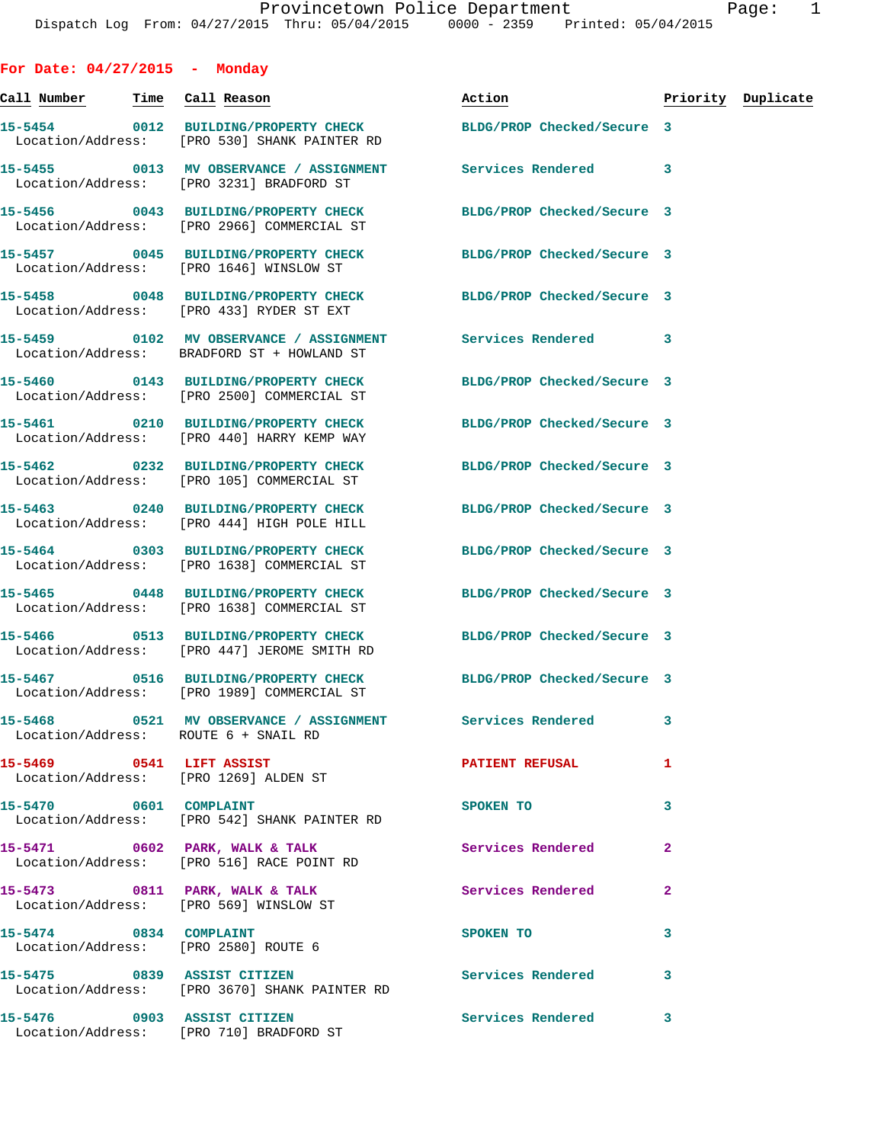**For Date: 04/27/2015 - Monday Call Number Time Call Reason Action Priority Duplicate 15-5454 0012 BUILDING/PROPERTY CHECK BLDG/PROP Checked/Secure 3**  Location/Address: [PRO 530] SHANK PAINTER RD **15-5455 0013 MV OBSERVANCE / ASSIGNMENT Services Rendered 3**  Location/Address: [PRO 3231] BRADFORD ST **15-5456 0043 BUILDING/PROPERTY CHECK BLDG/PROP Checked/Secure 3**  Location/Address: [PRO 2966] COMMERCIAL ST **15-5457 0045 BUILDING/PROPERTY CHECK BLDG/PROP Checked/Secure 3**  Location/Address: [PRO 1646] WINSLOW ST **15-5458 0048 BUILDING/PROPERTY CHECK BLDG/PROP Checked/Secure 3**  Location/Address: [PRO 433] RYDER ST EXT **15-5459 0102 MV OBSERVANCE / ASSIGNMENT Services Rendered 3**  Location/Address: BRADFORD ST + HOWLAND ST **15-5460 0143 BUILDING/PROPERTY CHECK BLDG/PROP Checked/Secure 3**  Location/Address: [PRO 2500] COMMERCIAL ST **15-5461 0210 BUILDING/PROPERTY CHECK BLDG/PROP Checked/Secure 3**  Location/Address: [PRO 440] HARRY KEMP WAY **15-5462 0232 BUILDING/PROPERTY CHECK BLDG/PROP Checked/Secure 3**  Location/Address: [PRO 105] COMMERCIAL ST **15-5463 0240 BUILDING/PROPERTY CHECK BLDG/PROP Checked/Secure 3**  Location/Address: [PRO 444] HIGH POLE HILL **15-5464 0303 BUILDING/PROPERTY CHECK BLDG/PROP Checked/Secure 3**  Location/Address: [PRO 1638] COMMERCIAL ST **15-5465 0448 BUILDING/PROPERTY CHECK BLDG/PROP Checked/Secure 3**  Location/Address: [PRO 1638] COMMERCIAL ST **15-5466 0513 BUILDING/PROPERTY CHECK BLDG/PROP Checked/Secure 3**  Location/Address: [PRO 447] JEROME SMITH RD **15-5467 0516 BUILDING/PROPERTY CHECK BLDG/PROP Checked/Secure 3**  Location/Address: [PRO 1989] COMMERCIAL ST **15-5468 0521 MV OBSERVANCE / ASSIGNMENT Services Rendered 3**  Location/Address: ROUTE 6 + SNAIL RD **15-5469 0541 LIFT ASSIST PATIENT REFUSAL 1**  Location/Address: [PRO 1269] ALDEN ST **15-5470 0601 COMPLAINT SPOKEN TO 3**  Location/Address: [PRO 542] SHANK PAINTER RD **15-5471 0602 PARK, WALK & TALK Services Rendered 2**  Location/Address: [PRO 516] RACE POINT RD **15-5473 0811 PARK, WALK & TALK Services Rendered 2**  Location/Address: [PRO 569] WINSLOW ST **15-5474 0834 COMPLAINT SPOKEN TO 3**  Location/Address: [PRO 2580] ROUTE 6 **15-5475 0839 ASSIST CITIZEN Services Rendered 3**  Location/Address: [PRO 3670] SHANK PAINTER RD

**15-5476 0903 ASSIST CITIZEN Services Rendered 3** 

Location/Address: [PRO 710] BRADFORD ST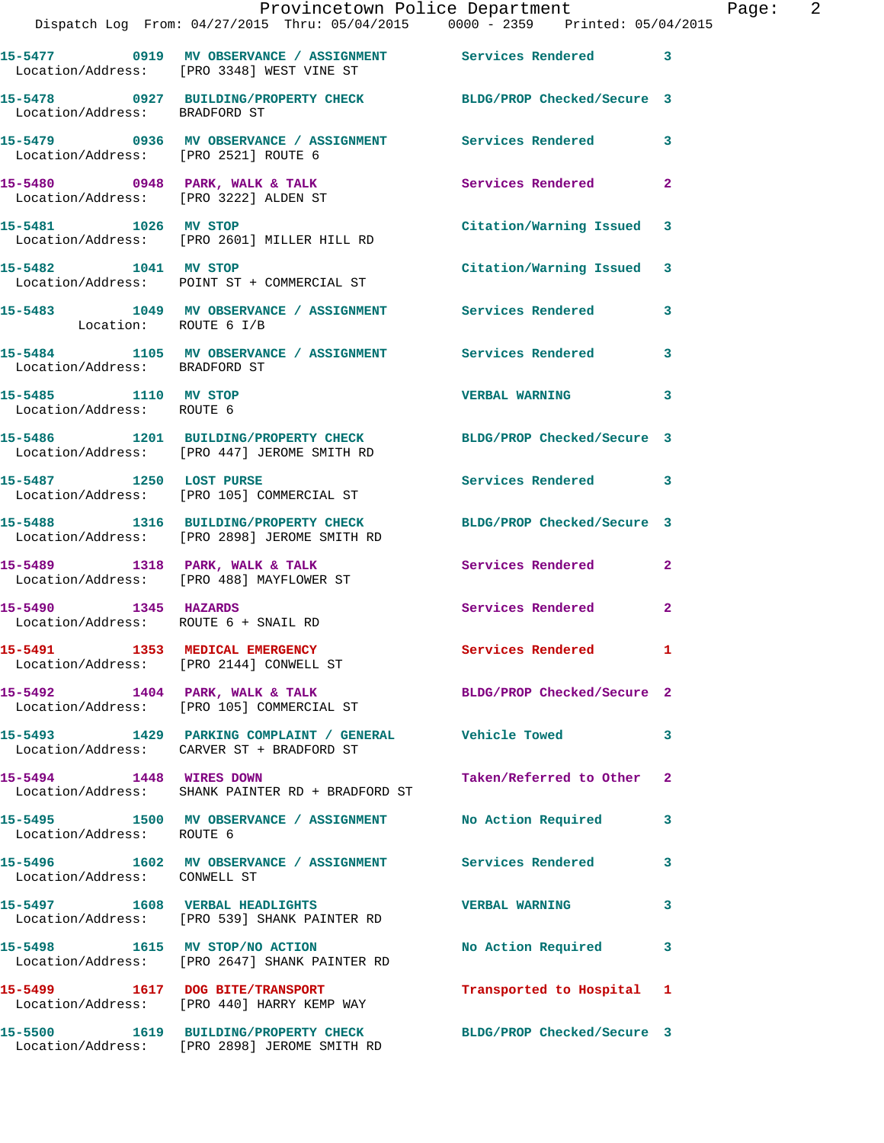|                                                              | Provincetown Police Department The Page: 2<br>Dispatch Log From: 04/27/2015 Thru: 05/04/2015   0000 - 2359   Printed: 05/04/2015 |                           |              |
|--------------------------------------------------------------|----------------------------------------------------------------------------------------------------------------------------------|---------------------------|--------------|
|                                                              | 15-5477 0919 MV OBSERVANCE / ASSIGNMENT Services Rendered 3<br>Location/Address: [PRO 3348] WEST VINE ST                         |                           |              |
| Location/Address: BRADFORD ST                                | 15-5478 0927 BUILDING/PROPERTY CHECK BLDG/PROP Checked/Secure 3                                                                  |                           |              |
|                                                              | 15-5479      0936   MV OBSERVANCE / ASSIGNMENT       Services Rendered      3<br>Location/Address:   [PRO 2521]ROUTE 6           |                           |              |
|                                                              | 15-5480 0948 PARK, WALK & TALK Services Rendered<br>Location/Address: [PRO 3222] ALDEN ST                                        |                           | $\mathbf{2}$ |
|                                                              | 15-5481 1026 MV STOP<br>Location/Address: [PRO 2601] MILLER HILL RD                                                              | Citation/Warning Issued 3 |              |
|                                                              | 15-5482 1041 MV STOP<br>Location/Address: POINT ST + COMMERCIAL ST                                                               | Citation/Warning Issued 3 |              |
| Location: ROUTE 6 I/B                                        | 15-5483 1049 MV OBSERVANCE / ASSIGNMENT Services Rendered 3                                                                      |                           |              |
| Location/Address: BRADFORD ST                                | 15-5484 1105 MV OBSERVANCE / ASSIGNMENT Services Rendered                                                                        |                           | 3            |
| 15-5485 1110 MV STOP<br>Location/Address: ROUTE 6            |                                                                                                                                  | <b>VERBAL WARNING 3</b>   |              |
|                                                              | 15-5486 1201 BUILDING/PROPERTY CHECK BLDG/PROP Checked/Secure 3<br>Location/Address: [PRO 447] JEROME SMITH RD                   |                           |              |
| 15-5487 1250 LOST PURSE                                      | Location/Address: [PRO 105] COMMERCIAL ST                                                                                        | Services Rendered 3       |              |
|                                                              | 15-5488 1316 BUILDING/PROPERTY CHECK BLDG/PROP Checked/Secure 3<br>Location/Address: [PRO 2898] JEROME SMITH RD                  |                           |              |
|                                                              | 15-5489 1318 PARK, WALK & TALK 1999 Services Rendered<br>Location/Address: [PRO 488] MAYFLOWER ST                                |                           | $\mathbf{2}$ |
| 15-5490 1345 HAZARDS<br>Location/Address: ROUTE 6 + SNAIL RD |                                                                                                                                  | Services Rendered         | $\mathbf{2}$ |
|                                                              | 15-5491 1353 MEDICAL EMERGENCY<br>Location/Address: [PRO 2144] CONWELL ST                                                        | Services Rendered 1       |              |
|                                                              | 15-5492 1404 PARK, WALK & TALK BLDG/PROP Checked/Secure 2<br>Location/Address: [PRO 105] COMMERCIAL ST                           |                           |              |
|                                                              | 15-5493 1429 PARKING COMPLAINT / GENERAL Vehicle Towed<br>Location/Address: CARVER ST + BRADFORD ST                              |                           | 3            |
|                                                              | 15-5494 1448 WIRES DOWN<br>Location/Address: SHANK PAINTER RD + BRADFORD ST                                                      | Taken/Referred to Other   | 2            |
| Location/Address: ROUTE 6                                    | 15-5495 1500 MV OBSERVANCE / ASSIGNMENT No Action Required                                                                       |                           | 3            |
| Location/Address: CONWELL ST                                 | 15-5496 1602 MV OBSERVANCE / ASSIGNMENT Services Rendered                                                                        |                           | 3            |
|                                                              | 15-5497 1608 VERBAL HEADLIGHTS NERBAL WERBAL WARNING<br>Location/Address: [PRO 539] SHANK PAINTER RD                             |                           | 3            |
|                                                              | 15-5498 1615 MV STOP/NO ACTION<br>Location/Address: [PRO 2647] SHANK PAINTER RD                                                  | No Action Required        | 3            |
|                                                              | 15-5499 1617 DOG BITE/TRANSPORT<br>Location/Address: [PRO 440] HARRY KEMP WAY                                                    | Transported to Hospital 1 |              |
|                                                              | 15-5500 1619 BUILDING/PROPERTY CHECK BLDG/PROP Checked/Secure 3<br>Location/Address: [PRO 2898] JEROME SMITH RD                  |                           |              |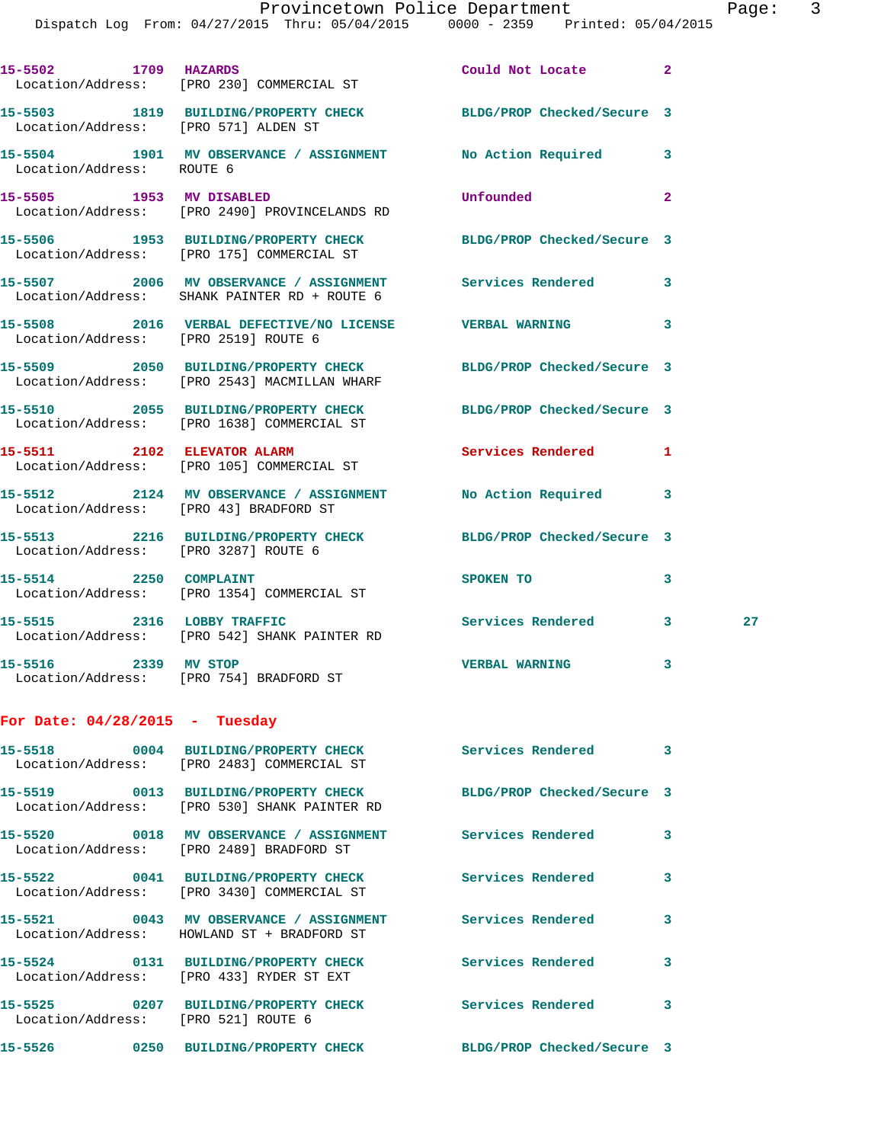| 15-5502 1709 HAZARDS             | Location/Address: [PRO 230] COMMERCIAL ST                                                               | Could Not Locate           | $\overline{2}$          |    |
|----------------------------------|---------------------------------------------------------------------------------------------------------|----------------------------|-------------------------|----|
|                                  | 15-5503 1819 BUILDING/PROPERTY CHECK BLDG/PROP Checked/Secure 3<br>Location/Address: [PRO 571] ALDEN ST |                            |                         |    |
| Location/Address: ROUTE 6        | 15-5504 1901 MV OBSERVANCE / ASSIGNMENT                                                                 | No Action Required         | 3                       |    |
|                                  | 15-5505 1953 MV DISABLED<br>Location/Address: [PRO 2490] PROVINCELANDS RD                               | Unfounded                  | $\overline{\mathbf{2}}$ |    |
|                                  | 15-5506 1953 BUILDING/PROPERTY CHECK<br>Location/Address: [PRO 175] COMMERCIAL ST                       | BLDG/PROP Checked/Secure 3 |                         |    |
|                                  | 15-5507 2006 MV OBSERVANCE / ASSIGNMENT<br>Location/Address: SHANK PAINTER RD + ROUTE 6                 | Services Rendered          | 3                       |    |
|                                  | 15-5508 2016 VERBAL DEFECTIVE/NO LICENSE  VERBAL WARNING<br>Location/Address: [PRO 2519] ROUTE 6        |                            | 3                       |    |
|                                  | 15-5509 2050 BUILDING/PROPERTY CHECK<br>Location/Address: [PRO 2543] MACMILLAN WHARF                    | BLDG/PROP Checked/Secure 3 |                         |    |
|                                  | 15-5510 2055 BUILDING/PROPERTY CHECK<br>Location/Address: [PRO 1638] COMMERCIAL ST                      | BLDG/PROP Checked/Secure 3 |                         |    |
|                                  | 15-5511 2102 ELEVATOR ALARM<br>Location/Address: [PRO 105] COMMERCIAL ST                                | <b>Services Rendered</b>   | 1                       |    |
|                                  | 15-5512 2124 MV OBSERVANCE / ASSIGNMENT<br>Location/Address: [PRO 43] BRADFORD ST                       | No Action Required         | 3                       |    |
|                                  | 15-5513 2216 BUILDING/PROPERTY CHECK BLDG/PROP Checked/Secure 3<br>Location/Address: [PRO 3287] ROUTE 6 |                            |                         |    |
|                                  | 15-5514 2250 COMPLAINT<br>Location/Address: [PRO 1354] COMMERCIAL ST                                    | SPOKEN TO                  | 3                       |    |
| 15-5515 2316 LOBBY TRAFFIC       | Location/Address: [PRO 542] SHANK PAINTER RD                                                            | <b>Services Rendered</b>   | 3                       | 27 |
| 15-5516 2339 MV STOP             | Location/Address: [PRO 754] BRADFORD ST                                                                 | <b>VERBAL WARNING</b>      | 3                       |    |
| For Date: $04/28/2015$ - Tuesday |                                                                                                         |                            |                         |    |
|                                  | 15-5518 0004 BUILDING/PROPERTY CHECK<br>Location/Address: [PRO 2483] COMMERCIAL ST                      | Services Rendered 3        |                         |    |
|                                  | 15-5519 0013 BUILDING/PROPERTY CHECK<br>Location/Address: [PRO 530] SHANK PAINTER RD                    | BLDG/PROP Checked/Secure 3 |                         |    |
|                                  | 15-5520 0018 MV OBSERVANCE / ASSIGNMENT<br>Location/Address: [PRO 2489] BRADFORD ST                     | Services Rendered          | 3                       |    |
|                                  | 15-5522 0041 BUILDING/PROPERTY CHECK<br>Location/Address: [PRO 3430] COMMERCIAL ST                      | <b>Services Rendered</b>   | 3                       |    |
|                                  | 15-5521 0043 MV OBSERVANCE / ASSIGNMENT<br>Location/Address: HOWLAND ST + BRADFORD ST                   | <b>Services Rendered</b>   | 3                       |    |
|                                  | 15-5524 0131 BUILDING/PROPERTY CHECK<br>Location/Address: [PRO 433] RYDER ST EXT                        | <b>Services Rendered</b>   | 3                       |    |
|                                  | 15-5525 0207 BUILDING/PROPERTY CHECK<br>Location/Address: [PRO 521] ROUTE 6                             | Services Rendered          | 3                       |    |
|                                  | 15-5526 0250 BUILDING/PROPERTY CHECK                                                                    | BLDG/PROP Checked/Secure 3 |                         |    |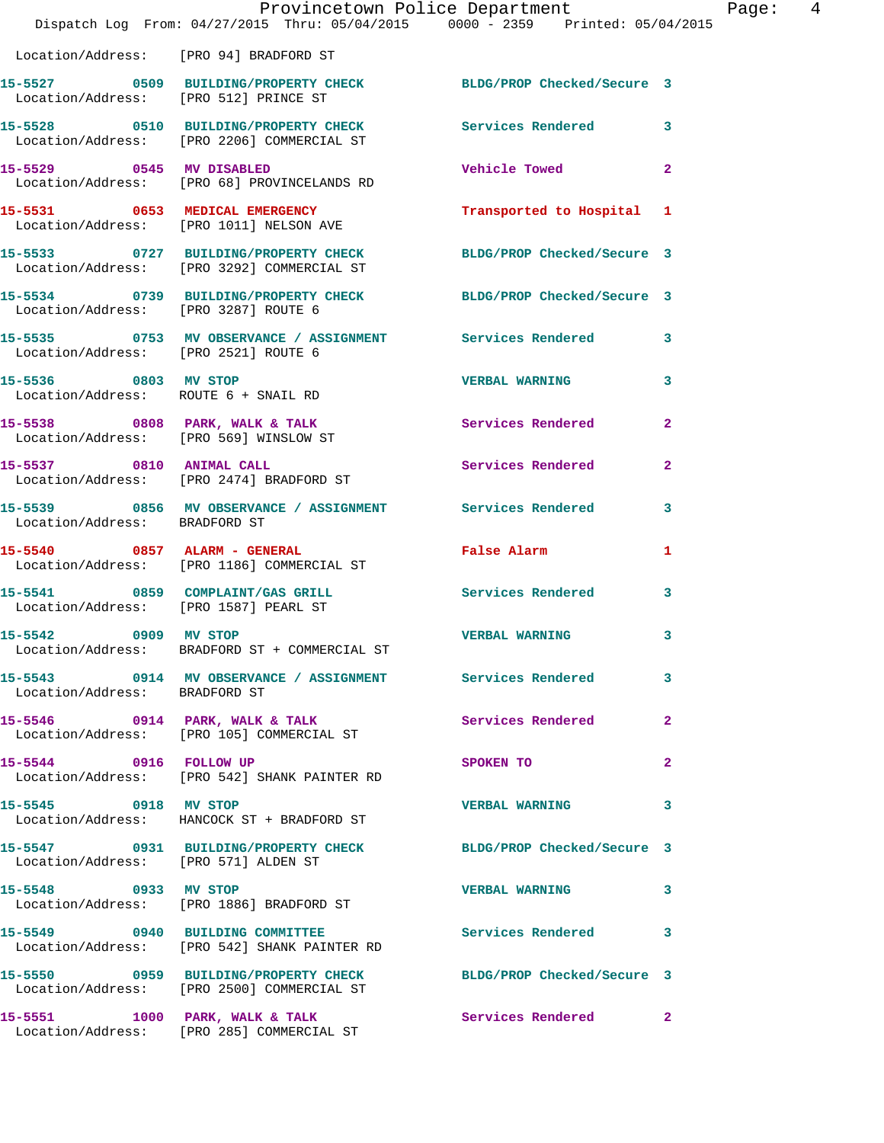|                                        | Provincetown Police Department The Rage: 4<br>Dispatch Log From: 04/27/2015 Thru: 05/04/2015 0000 - 2359 Printed: 05/04/2015 |                           |              |
|----------------------------------------|------------------------------------------------------------------------------------------------------------------------------|---------------------------|--------------|
| Location/Address: [PRO 94] BRADFORD ST |                                                                                                                              |                           |              |
|                                        | 15-5527 0509 BUILDING/PROPERTY CHECK BLDG/PROP Checked/Secure 3<br>Location/Address: [PRO 512] PRINCE ST                     |                           |              |
|                                        | 15-5528 0510 BUILDING/PROPERTY CHECK Services Rendered 3<br>Location/Address: [PRO 2206] COMMERCIAL ST                       |                           |              |
|                                        | 15-5529 0545 MV DISABLED<br>Location/Address: [PRO 68] PROVINCELANDS RD                                                      | Vehicle Towed 2           |              |
|                                        | 15-5531 0653 MEDICAL EMERGENCY<br>Location/Address: [PRO 1011] NELSON AVE                                                    | Transported to Hospital 1 |              |
|                                        | 15-5533 0727 BUILDING/PROPERTY CHECK BLDG/PROP Checked/Secure 3<br>Location/Address: [PRO 3292] COMMERCIAL ST                |                           |              |
|                                        | 15-5534 0739 BUILDING/PROPERTY CHECK BLDG/PROP Checked/Secure 3<br>Location/Address: [PRO 3287] ROUTE 6                      |                           |              |
| Location/Address: [PRO 2521] ROUTE 6   | 15-5535 0753 MV OBSERVANCE / ASSIGNMENT Services Rendered 3                                                                  |                           |              |
| 15-5536 0803 MV STOP                   | Location/Address: ROUTE 6 + SNAIL RD                                                                                         | <b>VERBAL WARNING 3</b>   |              |
| Location/Address: [PRO 569] WINSLOW ST | 15-5538 0808 PARK, WALK & TALK 1988 Services Rendered                                                                        |                           | $\mathbf{2}$ |
|                                        | 15-5537 0810 ANIMAL CALL<br>Location/Address: [PRO 2474] BRADFORD ST                                                         | Services Rendered         | $\mathbf{2}$ |
| Location/Address: BRADFORD ST          | 15-5539 0856 MV OBSERVANCE / ASSIGNMENT Services Rendered                                                                    |                           | 3            |
|                                        | 15-5540 0857 ALARM - GENERAL CONTRACTED False Alarm<br>Location/Address: [PRO 1186] COMMERCIAL ST                            |                           | 1            |
|                                        | 15-5541 0859 COMPLAINT/GAS GRILL Services Rendered 3<br>Location/Address: [PRO 1587] PEARL ST                                |                           |              |
| 15-5542 0909 MV STOP                   | Location/Address: BRADFORD ST + COMMERCIAL ST                                                                                | <b>VERBAL WARNING</b>     |              |
| Location/Address: BRADFORD ST          | 15-5543 0914 MV OBSERVANCE / ASSIGNMENT Services Rendered 3                                                                  |                           |              |
|                                        | 15-5546 0914 PARK, WALK & TALK<br>Location/Address: [PRO 105] COMMERCIAL ST                                                  | Services Rendered         | $\mathbf{2}$ |
|                                        | 15-5544 0916 FOLLOW UP<br>Location/Address: [PRO 542] SHANK PAINTER RD                                                       | SPOKEN TO                 | $\mathbf{2}$ |
| 15-5545 0918 MV STOP                   | Location/Address: HANCOCK ST + BRADFORD ST                                                                                   | VERBAL WARNING 3          |              |
| Location/Address: [PRO 571] ALDEN ST   | 15-5547 0931 BUILDING/PROPERTY CHECK BLDG/PROP Checked/Secure 3                                                              |                           |              |
| 15-5548 0933 MV STOP                   | Location/Address: [PRO 1886] BRADFORD ST                                                                                     | VERBAL WARNING 3          |              |
|                                        | 15-5549 0940 BUILDING COMMITTEE Services Rendered 3<br>Location/Address: [PRO 542] SHANK PAINTER RD                          |                           |              |
|                                        | 15-5550 0959 BUILDING/PROPERTY CHECK BLDG/PROP Checked/Secure 3<br>Location/Address: [PRO 2500] COMMERCIAL ST                |                           |              |
|                                        |                                                                                                                              |                           |              |

Location/Address: [PRO 285] COMMERCIAL ST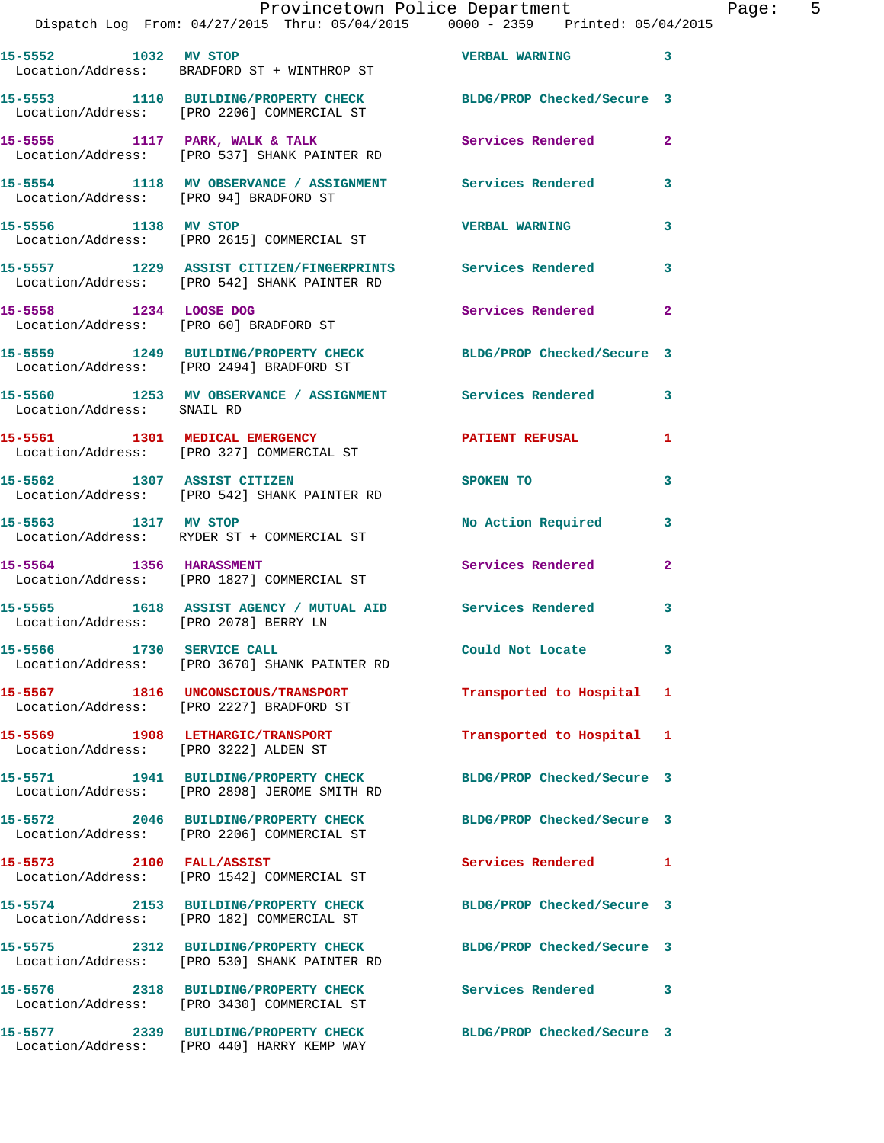| 15-5552 1032 MV STOP                                             | Location/Address: BRADFORD ST + WINTHROP ST                                                                | <b>VERBAL WARNING</b>      | 3              |
|------------------------------------------------------------------|------------------------------------------------------------------------------------------------------------|----------------------------|----------------|
|                                                                  | 15-5553 1110 BUILDING/PROPERTY CHECK<br>Location/Address: [PRO 2206] COMMERCIAL ST                         | BLDG/PROP Checked/Secure 3 |                |
|                                                                  | 15-5555 1117 PARK, WALK & TALK<br>Location/Address: [PRO 537] SHANK PAINTER RD                             | Services Rendered          | $\mathbf{2}$   |
| Location/Address: [PRO 94] BRADFORD ST                           | 15-5554 1118 MV OBSERVANCE / ASSIGNMENT                                                                    | <b>Services Rendered</b>   | 3              |
| 15-5556 1138 MV STOP                                             | Location/Address: [PRO 2615] COMMERCIAL ST                                                                 | <b>VERBAL WARNING</b>      | 3              |
|                                                                  | 15-5557 1229 ASSIST CITIZEN/FINGERPRINTS Services Rendered<br>Location/Address: [PRO 542] SHANK PAINTER RD |                            | $\mathbf{3}$   |
| 15-5558 1234 LOOSE DOG<br>Location/Address: [PRO 60] BRADFORD ST |                                                                                                            | Services Rendered          | $\mathbf{2}$   |
|                                                                  | 15-5559 1249 BUILDING/PROPERTY CHECK<br>Location/Address: [PRO 2494] BRADFORD ST                           | BLDG/PROP Checked/Secure 3 |                |
| Location/Address: SNAIL RD                                       | 15-5560 1253 MV OBSERVANCE / ASSIGNMENT Services Rendered                                                  |                            | 3              |
| 15-5561 1301 MEDICAL EMERGENCY                                   | Location/Address: [PRO 327] COMMERCIAL ST                                                                  | <b>PATIENT REFUSAL</b>     | 1              |
|                                                                  | 15-5562 1307 ASSIST CITIZEN<br>Location/Address: [PRO 542] SHANK PAINTER RD                                | SPOKEN TO                  | 3              |
| 15-5563 1317 MV STOP                                             | Location/Address: RYDER ST + COMMERCIAL ST                                                                 | No Action Required         | 3              |
| 15-5564 1356 HARASSMENT                                          | Location/Address: [PRO 1827] COMMERCIAL ST                                                                 | Services Rendered          | $\overline{2}$ |
| Location/Address: [PRO 2078] BERRY LN                            | 15-5565 1618 ASSIST AGENCY / MUTUAL AID Services Rendered                                                  |                            | 3              |
| 15-5566 1730 SERVICE CALL                                        | Location/Address: [PRO 3670] SHANK PAINTER RD                                                              | Could Not Locate 3         |                |
|                                                                  | 15-5567 1816 UNCONSCIOUS/TRANSPORT<br>Location/Address: [PRO 2227] BRADFORD ST                             | Transported to Hospital 1  |                |
| Location/Address: [PRO 3222] ALDEN ST                            | 15-5569 1908 LETHARGIC/TRANSPORT                                                                           | Transported to Hospital 1  |                |
|                                                                  | 15-5571 1941 BUILDING/PROPERTY CHECK<br>Location/Address: [PRO 2898] JEROME SMITH RD                       | BLDG/PROP Checked/Secure 3 |                |
|                                                                  | 15-5572 2046 BUILDING/PROPERTY CHECK<br>Location/Address: [PRO 2206] COMMERCIAL ST                         | BLDG/PROP Checked/Secure 3 |                |
| 15-5573 2100 FALL/ASSIST                                         | Location/Address: [PRO 1542] COMMERCIAL ST                                                                 | Services Rendered 1        |                |
|                                                                  | 15-5574 2153 BUILDING/PROPERTY CHECK<br>Location/Address: [PRO 182] COMMERCIAL ST                          | BLDG/PROP Checked/Secure 3 |                |
|                                                                  | 15-5575 2312 BUILDING/PROPERTY CHECK<br>Location/Address: [PRO 530] SHANK PAINTER RD                       | BLDG/PROP Checked/Secure 3 |                |
|                                                                  | 15-5576 2318 BUILDING/PROPERTY CHECK<br>Location/Address: [PRO 3430] COMMERCIAL ST                         | Services Rendered 3        |                |
|                                                                  | 15-5577 2339 BUILDING/PROPERTY CHECK<br>Location/Address: [PRO 440] HARRY KEMP WAY                         | BLDG/PROP Checked/Secure 3 |                |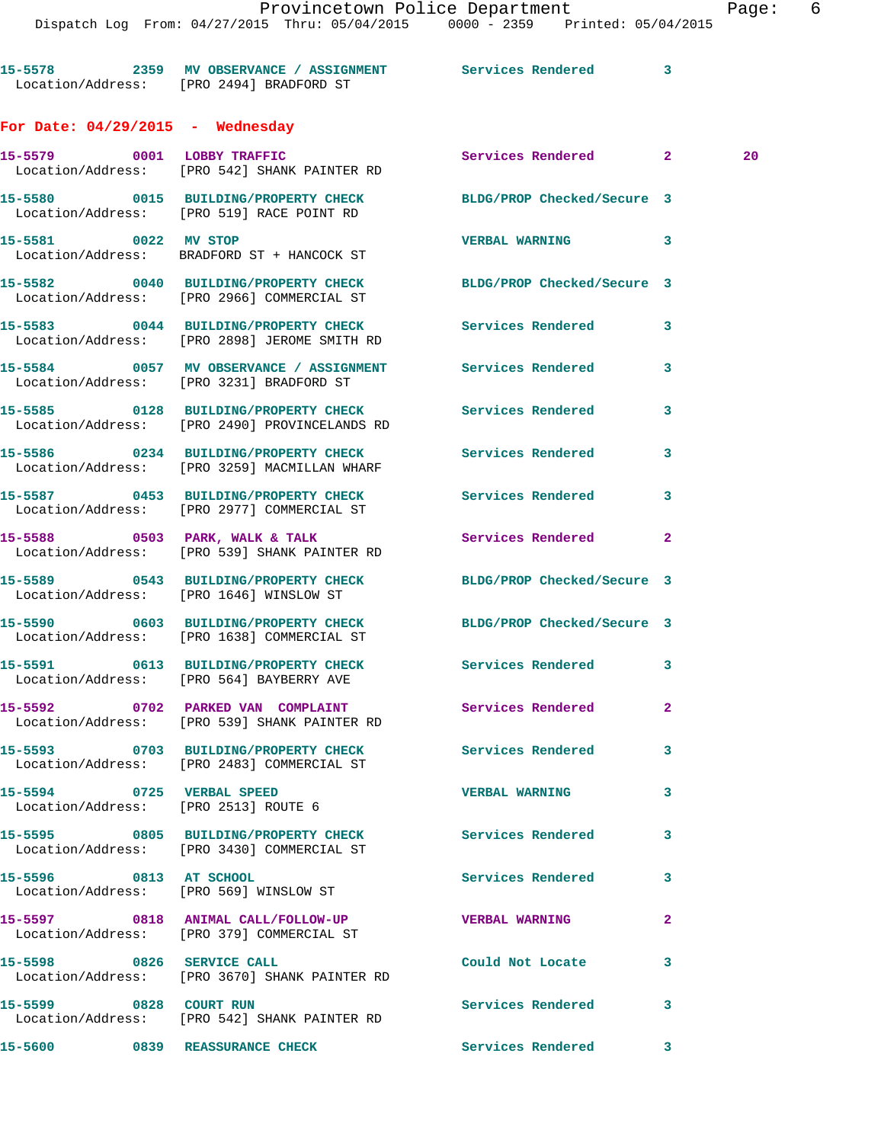| 15-5578           | 2359 MV OBSERVANCE / ASSIGNMENT | Services Rendered |  |
|-------------------|---------------------------------|-------------------|--|
| Location/Address: | [PRO 2494] BRADFORD ST          |                   |  |

## **For Date: 04/29/2015 - Wednesday**

|                                      | 15-5579 0001 LOBBY TRAFFIC<br>Location/Address: [PRO 542] SHANK PAINTER RD                                    | Services Rendered 2        |              | 20 |
|--------------------------------------|---------------------------------------------------------------------------------------------------------------|----------------------------|--------------|----|
|                                      | 15-5580 0015 BUILDING/PROPERTY CHECK<br>Location/Address: [PRO 519] RACE POINT RD                             | BLDG/PROP Checked/Secure 3 |              |    |
| 15-5581 0022 MV STOP                 | Location/Address: BRADFORD ST + HANCOCK ST                                                                    | VERBAL WARNING 3           |              |    |
|                                      | 15-5582 0040 BUILDING/PROPERTY CHECK<br>Location/Address: [PRO 2966] COMMERCIAL ST                            | BLDG/PROP Checked/Secure 3 |              |    |
|                                      | 15-5583 0044 BUILDING/PROPERTY CHECK<br>Location/Address: [PRO 2898] JEROME SMITH RD                          | Services Rendered          | 3            |    |
|                                      | 15-5584 0057 MV OBSERVANCE / ASSIGNMENT Services Rendered 3<br>Location/Address: [PRO 3231] BRADFORD ST       |                            |              |    |
|                                      | 15-5585 0128 BUILDING/PROPERTY CHECK Services Rendered<br>Location/Address: [PRO 2490] PROVINCELANDS RD       |                            | 3            |    |
|                                      | 15-5586 0234 BUILDING/PROPERTY CHECK Services Rendered<br>Location/Address: [PRO 3259] MACMILLAN WHARF        |                            | 3            |    |
|                                      | 15-5587 0453 BUILDING/PROPERTY CHECK Services Rendered<br>Location/Address: [PRO 2977] COMMERCIAL ST          |                            | 3            |    |
|                                      | 15-5588 0503 PARK, WALK & TALK 1988 Services Rendered 2<br>Location/Address: [PRO 539] SHANK PAINTER RD       |                            |              |    |
|                                      | 15-5589 0543 BUILDING/PROPERTY CHECK<br>Location/Address: [PRO 1646] WINSLOW ST                               | BLDG/PROP Checked/Secure 3 |              |    |
|                                      | 15-5590 0603 BUILDING/PROPERTY CHECK BLDG/PROP Checked/Secure 3<br>Location/Address: [PRO 1638] COMMERCIAL ST |                            |              |    |
|                                      | 15-5591 0613 BUILDING/PROPERTY CHECK<br>Location/Address: [PRO 564] BAYBERRY AVE                              | Services Rendered          | 3            |    |
|                                      | 15-5592 0702 PARKED VAN COMPLAINT<br>Location/Address: [PRO 539] SHANK PAINTER RD                             | Services Rendered          | $\mathbf{2}$ |    |
|                                      | 15-5593 0703 BUILDING/PROPERTY CHECK<br>Location/Address: [PRO 2483] COMMERCIAL ST                            | Services Rendered 3        |              |    |
| Location/Address: [PRO 2513] ROUTE 6 | 15-5594 0725 VERBAL SPEED NAME WERBAL WARNING                                                                 |                            | 3            |    |
|                                      | 15-5595 0805 BUILDING/PROPERTY CHECK Services Rendered<br>Location/Address: [PRO 3430] COMMERCIAL ST          |                            | 3            |    |
| 15-5596 0813 AT SCHOOL               | Location/Address: [PRO 569] WINSLOW ST                                                                        | Services Rendered          | 3            |    |
|                                      | 15-5597 0818 ANIMAL CALL/FOLLOW-UP<br>Location/Address: [PRO 379] COMMERCIAL ST                               | <b>VERBAL WARNING</b>      | 2            |    |
| 15-5598 0826 SERVICE CALL            | Location/Address: [PRO 3670] SHANK PAINTER RD                                                                 | Could Not Locate           | 3            |    |
| 15-5599 0828 COURT RUN               | Location/Address: [PRO 542] SHANK PAINTER RD                                                                  | Services Rendered          | 3            |    |
|                                      |                                                                                                               |                            |              |    |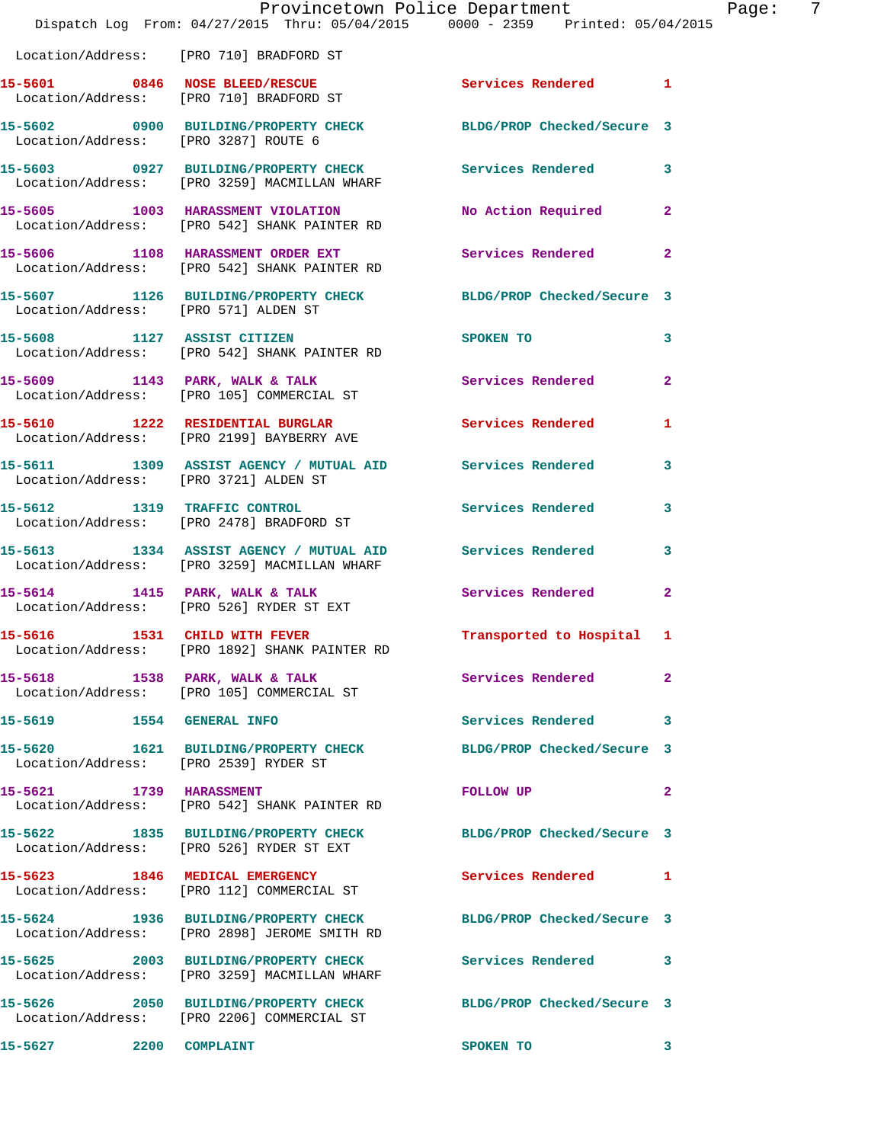|                                       | Provincetown Police Department<br>Dispatch Log From: 04/27/2015 Thru: 05/04/2015 0000 - 2359 Printed: 05/04/2015 |                                                                                                                                                                                                                                | Page:        | - 7 |
|---------------------------------------|------------------------------------------------------------------------------------------------------------------|--------------------------------------------------------------------------------------------------------------------------------------------------------------------------------------------------------------------------------|--------------|-----|
|                                       | Location/Address: [PRO 710] BRADFORD ST                                                                          |                                                                                                                                                                                                                                |              |     |
|                                       | 15-5601 0846 NOSE BLEED/RESCUE CONTROLLER Services Rendered 1<br>Location/Address: [PRO 710] BRADFORD ST         |                                                                                                                                                                                                                                |              |     |
| Location/Address: [PRO 3287] ROUTE 6  | 15-5602 0900 BUILDING/PROPERTY CHECK BLDG/PROP Checked/Secure 3                                                  |                                                                                                                                                                                                                                |              |     |
|                                       | 15-5603 0927 BUILDING/PROPERTY CHECK Services Rendered 3<br>Location/Address: [PRO 3259] MACMILLAN WHARF         |                                                                                                                                                                                                                                |              |     |
|                                       | 15-5605 1003 HARASSMENT VIOLATION<br>Location/Address: [PRO 542] SHANK PAINTER RD                                | No Action Required 2                                                                                                                                                                                                           |              |     |
|                                       | 15-5606 1108 HARASSMENT ORDER EXT<br>Location/Address: [PRO 542] SHANK PAINTER RD                                | Services Rendered 2                                                                                                                                                                                                            |              |     |
|                                       | 15-5607 1126 BUILDING/PROPERTY CHECK BLDG/PROP Checked/Secure 3<br>Location/Address: [PRO 571] ALDEN ST          |                                                                                                                                                                                                                                |              |     |
|                                       | 15-5608 1127 ASSIST CITIZEN<br>Location/Address: [PRO 542] SHANK PAINTER RD                                      | SPOKEN TO                                                                                                                                                                                                                      | $\mathbf{3}$ |     |
|                                       | 15-5609 1143 PARK, WALK & TALK<br>Location/Address: [PRO 105] COMMERCIAL ST                                      | Services Rendered 2                                                                                                                                                                                                            |              |     |
|                                       | 15-5610 1222 RESIDENTIAL BURGLAR<br>Location/Address: [PRO 2199] BAYBERRY AVE                                    | Services Rendered 1                                                                                                                                                                                                            |              |     |
| Location/Address: [PRO 3721] ALDEN ST | 15-5611 1309 ASSIST AGENCY / MUTUAL AID Services Rendered 3                                                      |                                                                                                                                                                                                                                |              |     |
|                                       | 15-5612 1319 TRAFFIC CONTROL<br>Location/Address: [PRO 2478] BRADFORD ST                                         | Services Rendered 3                                                                                                                                                                                                            |              |     |
|                                       | 15-5613 1334 ASSIST AGENCY / MUTUAL AID Services Rendered<br>Location/Address: [PRO 3259] MACMILLAN WHARF        |                                                                                                                                                                                                                                | $\mathbf{3}$ |     |
|                                       | 15-5614 1415 PARK, WALK & TALK 6 Services Rendered 2<br>Location/Address: [PRO 526] RYDER ST EXT                 |                                                                                                                                                                                                                                |              |     |
| 15-5616                               | 1531 CHILD WITH FEVER<br>Location/Address: [PRO 1892] SHANK PAINTER RD                                           | Transported to Hospital 1                                                                                                                                                                                                      |              |     |
|                                       | 15-5618 1538 PARK, WALK & TALK<br>Location/Address: [PRO 105] COMMERCIAL ST                                      | Services Rendered                                                                                                                                                                                                              | $\mathbf{2}$ |     |
| 15-5619 1554 GENERAL INFO             |                                                                                                                  | Services Rendered 3                                                                                                                                                                                                            |              |     |
| Location/Address: [PRO 2539] RYDER ST | 15-5620 1621 BUILDING/PROPERTY CHECK BLDG/PROP Checked/Secure 3                                                  |                                                                                                                                                                                                                                |              |     |
| 15-5621 1739 HARASSMENT               | Location/Address: [PRO 542] SHANK PAINTER RD                                                                     | FOLLOW UP THE TRANSPORTED TO A THE TRANSPORTED TO A THE TRANSPORTED TO A THE TRANSPORTED TO A THE TRANSPORTED TO A THE TRANSPORTED TO A THE TRANSPORTED TO A THE TRANSPORTED TO A THE TRANSPORTED TO A THE TRANSPORTED TO A TH | $\mathbf{2}$ |     |
|                                       | 15-5622 1835 BUILDING/PROPERTY CHECK BLDG/PROP Checked/Secure 3<br>Location/Address: [PRO 526] RYDER ST EXT      |                                                                                                                                                                                                                                |              |     |
|                                       | 15-5623 1846 MEDICAL EMERGENCY<br>Location/Address: [PRO 112] COMMERCIAL ST                                      | Services Rendered 1                                                                                                                                                                                                            |              |     |
|                                       | 15-5624 1936 BUILDING/PROPERTY CHECK<br>Location/Address: [PRO 2898] JEROME SMITH RD                             | BLDG/PROP Checked/Secure 3                                                                                                                                                                                                     |              |     |
|                                       | 15-5625 2003 BUILDING/PROPERTY CHECK<br>Location/Address: [PRO 3259] MACMILLAN WHARF                             | Services Rendered 3                                                                                                                                                                                                            |              |     |
|                                       | 15-5626 2050 BUILDING/PROPERTY CHECK BLDG/PROP Checked/Secure 3<br>Location/Address: [PRO 2206] COMMERCIAL ST    |                                                                                                                                                                                                                                |              |     |
| 15-5627 2200 COMPLAINT                |                                                                                                                  | SPOKEN TO                                                                                                                                                                                                                      | 3            |     |
|                                       |                                                                                                                  |                                                                                                                                                                                                                                |              |     |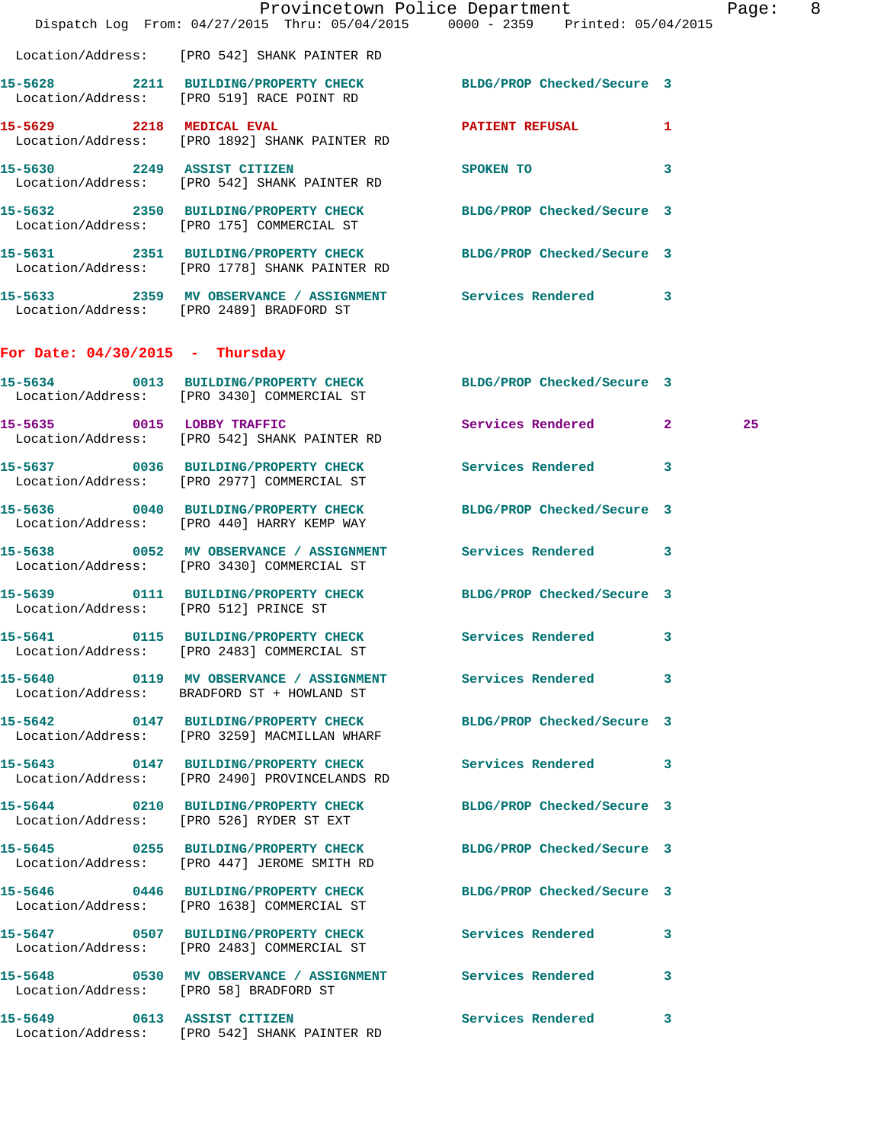|                                       | Dispatch Log From: 04/27/2015 Thru: 05/04/2015 0000 - 2359 Printed: 05/04/2015                                   | Provincetown Police Department | Page: 8      |
|---------------------------------------|------------------------------------------------------------------------------------------------------------------|--------------------------------|--------------|
|                                       | Location/Address: [PRO 542] SHANK PAINTER RD                                                                     |                                |              |
|                                       | 15-5628 2211 BUILDING/PROPERTY CHECK BLDG/PROP Checked/Secure 3<br>Location/Address: [PRO 519] RACE POINT RD     |                                |              |
|                                       | 15-5629 2218 MEDICAL EVAL<br>Location/Address: [PRO 1892] SHANK PAINTER RD                                       | <b>PATIENT REFUSAL</b>         | $\mathbf{1}$ |
| 15-5630 2249 ASSIST CITIZEN           | Location/Address: [PRO 542] SHANK PAINTER RD                                                                     | SPOKEN TO 3                    |              |
|                                       | 15-5632 2350 BUILDING/PROPERTY CHECK BLDG/PROP Checked/Secure 3<br>Location/Address: [PRO 175] COMMERCIAL ST     |                                |              |
|                                       | 15-5631 2351 BUILDING/PROPERTY CHECK BLDG/PROP Checked/Secure 3<br>Location/Address: [PRO 1778] SHANK PAINTER RD |                                |              |
|                                       | 15-5633 2359 MV OBSERVANCE / ASSIGNMENT Services Rendered 3<br>Location/Address: [PRO 2489] BRADFORD ST          |                                |              |
| For Date: $04/30/2015$ - Thursday     |                                                                                                                  |                                |              |
|                                       | 15-5634 0013 BUILDING/PROPERTY CHECK BLDG/PROP Checked/Secure 3<br>Location/Address: [PRO 3430] COMMERCIAL ST    |                                |              |
|                                       | 15-5635 0015 LOBBY TRAFFIC<br>Location/Address: [PRO 542] SHANK PAINTER RD                                       | Services Rendered 2            | 25           |
|                                       | 15-5637 0036 BUILDING/PROPERTY CHECK Services Rendered 3<br>Location/Address: [PRO 2977] COMMERCIAL ST           |                                |              |
|                                       | 15-5636 0040 BUILDING/PROPERTY CHECK<br>Location/Address: [PRO 440] HARRY KEMP WAY                               | BLDG/PROP Checked/Secure 3     |              |
|                                       | 15-5638 0052 MV OBSERVANCE / ASSIGNMENT Services Rendered 3<br>Location/Address: [PRO 3430] COMMERCIAL ST        |                                |              |
| Location/Address: [PRO 512] PRINCE ST | 15-5639 0111 BUILDING/PROPERTY CHECK BLDG/PROP Checked/Secure 3                                                  |                                |              |
| 15-5641                               | 0115 BUILDING/PROPERTY CHECK Services Rendered 3<br>Location/Address: [PRO 2483] COMMERCIAL ST                   |                                |              |
|                                       | 15-5640 0119 MV OBSERVANCE / ASSIGNMENT Services Rendered 3<br>Location/Address: BRADFORD ST + HOWLAND ST        |                                |              |
|                                       | 15-5642 0147 BUILDING/PROPERTY CHECK<br>Location/Address: [PRO 3259] MACMILLAN WHARF                             | BLDG/PROP Checked/Secure 3     |              |
|                                       | 15-5643 0147 BUILDING/PROPERTY CHECK Services Rendered 3<br>Location/Address: [PRO 2490] PROVINCELANDS RD        |                                |              |
|                                       | 15-5644 0210 BUILDING/PROPERTY CHECK<br>Location/Address: [PRO 526] RYDER ST EXT                                 | BLDG/PROP Checked/Secure 3     |              |
|                                       | 15-5645 0255 BUILDING/PROPERTY CHECK BLDG/PROP Checked/Secure 3<br>Location/Address: [PRO 447] JEROME SMITH RD   |                                |              |
|                                       | 15-5646 0446 BUILDING/PROPERTY CHECK BLDG/PROP Checked/Secure 3<br>Location/Address: [PRO 1638] COMMERCIAL ST    |                                |              |
|                                       | 15-5647 0507 BUILDING/PROPERTY CHECK Services Rendered 3<br>Location/Address: [PRO 2483] COMMERCIAL ST           |                                |              |
|                                       | 15-5648 0530 MV OBSERVANCE / ASSIGNMENT Services Rendered 3<br>Location/Address: [PRO 58] BRADFORD ST            |                                |              |
|                                       | 15-5649 0613 ASSIST CITIZEN<br>Location/Address: [PRO 542] SHANK PAINTER RD                                      | <b>Services Rendered</b>       | 3            |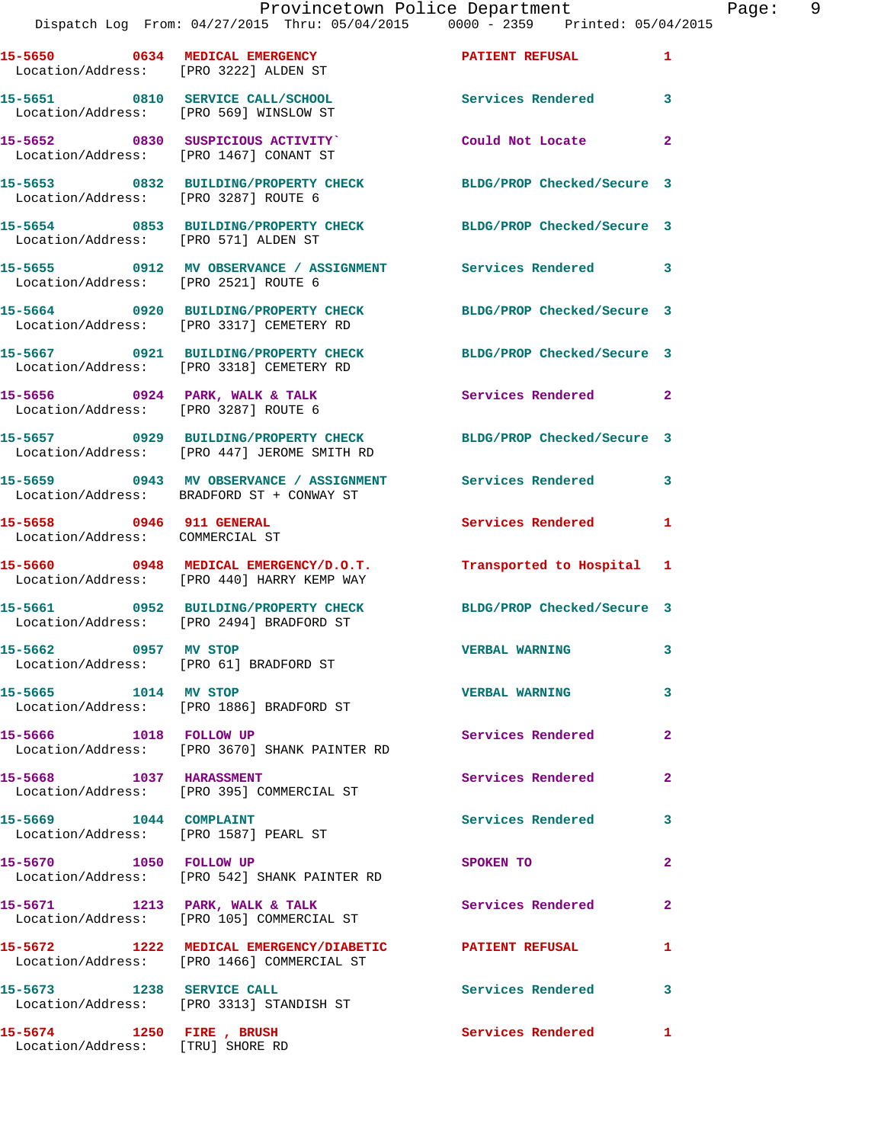| 15-5650 0634 MEDICAL EMERGENCY<br>Location/Address: [PRO 3222] ALDEN ST    |                                                                                                             | PATIENT REFUSAL            | $\mathbf{1}$   |
|----------------------------------------------------------------------------|-------------------------------------------------------------------------------------------------------------|----------------------------|----------------|
| 15-5651 0810 SERVICE CALL/SCHOOL<br>Location/Address: [PRO 569] WINSLOW ST |                                                                                                             | <b>Services Rendered</b>   | 3              |
| Location/Address: [PRO 1467] CONANT ST                                     | 15-5652 0830 SUSPICIOUS ACTIVITY                                                                            | Could Not Locate           | $\overline{2}$ |
| Location/Address: [PRO 3287] ROUTE 6                                       | 15-5653 0832 BUILDING/PROPERTY CHECK                                                                        | BLDG/PROP Checked/Secure 3 |                |
| Location/Address: [PRO 571] ALDEN ST                                       | 15-5654 0853 BUILDING/PROPERTY CHECK BLDG/PROP Checked/Secure 3                                             |                            |                |
| Location/Address: [PRO 2521] ROUTE 6                                       | 15-5655 0912 MV OBSERVANCE / ASSIGNMENT Services Rendered 3                                                 |                            |                |
|                                                                            | 15-5664 0920 BUILDING/PROPERTY CHECK BLDG/PROP Checked/Secure 3<br>Location/Address: [PRO 3317] CEMETERY RD |                            |                |
|                                                                            | 15-5667 0921 BUILDING/PROPERTY CHECK<br>Location/Address: [PRO 3318] CEMETERY RD                            | BLDG/PROP Checked/Secure 3 |                |
| Location/Address: [PRO 3287] ROUTE 6                                       | 15-5656 0924 PARK, WALK & TALK                                                                              | <b>Services Rendered</b> 2 |                |
|                                                                            | 15-5657 0929 BUILDING/PROPERTY CHECK<br>Location/Address: [PRO 447] JEROME SMITH RD                         | BLDG/PROP Checked/Secure 3 |                |
|                                                                            | 15-5659 0943 MV OBSERVANCE / ASSIGNMENT Services Rendered<br>Location/Address: BRADFORD ST + CONWAY ST      |                            | 3              |
| 15-5658 0946 911 GENERAL<br>Location/Address: COMMERCIAL ST                |                                                                                                             | Services Rendered 1        |                |
|                                                                            | 15-5660 0948 MEDICAL EMERGENCY/D.O.T.<br>Location/Address: [PRO 440] HARRY KEMP WAY                         | Transported to Hospital 1  |                |
|                                                                            | 15-5661 0952 BUILDING/PROPERTY CHECK<br>Location/Address: [PRO 2494] BRADFORD ST                            | BLDG/PROP Checked/Secure 3 |                |
| 15-5662 0957 MV STOP                                                       | Location/Address: [PRO 61] BRADFORD ST                                                                      | <b>VERBAL WARNING</b>      | 3              |
| 15-5665 1014 MV STOP                                                       | Location/Address: [PRO 1886] BRADFORD ST                                                                    | <b>VERBAL WARNING</b>      | 3              |
| 15-5666 1018 FOLLOW UP                                                     | Location/Address: [PRO 3670] SHANK PAINTER RD                                                               | Services Rendered          | $\mathbf{2}$   |
| 15-5668 1037 HARASSMENT                                                    | Location/Address: [PRO 395] COMMERCIAL ST                                                                   | Services Rendered          | $\mathbf{2}$   |
| 15-5669 1044 COMPLAINT<br>Location/Address: [PRO 1587] PEARL ST            |                                                                                                             | <b>Services Rendered</b>   | 3              |
| 15-5670 1050 FOLLOW UP                                                     | Location/Address: [PRO 542] SHANK PAINTER RD                                                                | SPOKEN TO                  | $\overline{2}$ |
| 15-5671 1213 PARK, WALK & TALK                                             | Location/Address: [PRO 105] COMMERCIAL ST                                                                   | Services Rendered          | $\mathbf{2}$   |
|                                                                            | 15-5672 1222 MEDICAL EMERGENCY/DIABETIC PATIENT REFUSAL<br>Location/Address: [PRO 1466] COMMERCIAL ST       |                            | 1              |
| 15-5673 1238 SERVICE CALL                                                  | Location/Address: [PRO 3313] STANDISH ST                                                                    | Services Rendered          | 3              |
| 15-5674 1250 FIRE, BRUSH<br>Location/Address: [TRU] SHORE RD               |                                                                                                             | Services Rendered 1        |                |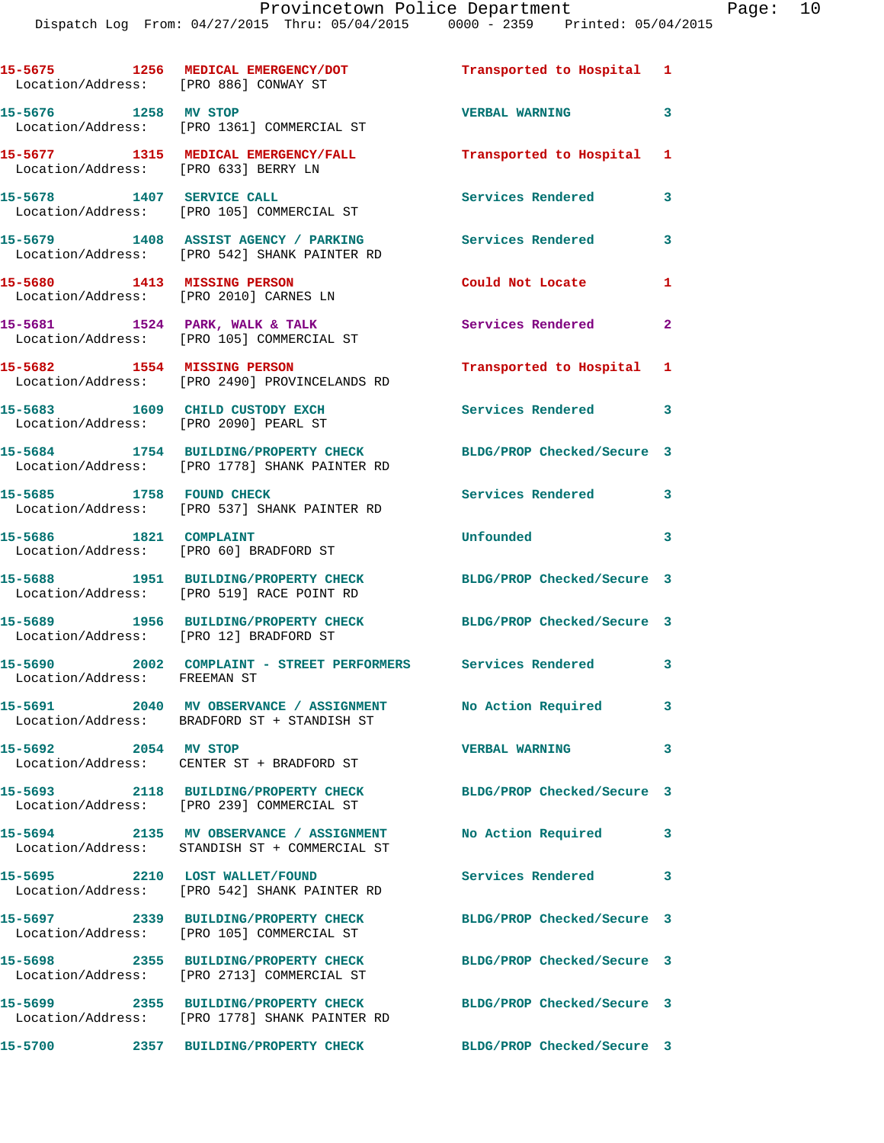| Location/Address: [PRO 886] CONWAY ST                                    | 15-5675 1256 MEDICAL EMERGENCY/DOT                                                                            | Transported to Hospital 1  |                         |
|--------------------------------------------------------------------------|---------------------------------------------------------------------------------------------------------------|----------------------------|-------------------------|
| 15-5676 1258 MV STOP                                                     | Location/Address: [PRO 1361] COMMERCIAL ST                                                                    | <b>VERBAL WARNING</b>      | 3                       |
| Location/Address: [PRO 633] BERRY LN                                     | 15-5677 1315 MEDICAL EMERGENCY/FALL                                                                           | Transported to Hospital 1  |                         |
|                                                                          | 15-5678 1407 SERVICE CALL<br>Location/Address: [PRO 105] COMMERCIAL ST                                        | <b>Services Rendered</b>   | 3                       |
|                                                                          | 15-5679 1408 ASSIST AGENCY / PARKING<br>Location/Address: [PRO 542] SHANK PAINTER RD                          | <b>Services Rendered</b>   | 3                       |
| Location/Address: [PRO 2010] CARNES LN                                   | 15-5680 1413 MISSING PERSON                                                                                   | Could Not Locate           | 1                       |
|                                                                          | 15-5681 1524 PARK, WALK & TALK<br>Location/Address: [PRO 105] COMMERCIAL ST                                   | <b>Services Rendered</b>   | $\mathbf{2}$            |
|                                                                          | 15-5682 1554 MISSING PERSON<br>Location/Address: [PRO 2490] PROVINCELANDS RD                                  | Transported to Hospital 1  |                         |
| 15-5683 1609 CHILD CUSTODY EXCH<br>Location/Address: [PRO 2090] PEARL ST |                                                                                                               | Services Rendered 3        |                         |
|                                                                          | 15-5684 1754 BUILDING/PROPERTY CHECK<br>Location/Address: [PRO 1778] SHANK PAINTER RD                         | BLDG/PROP Checked/Secure 3 |                         |
| 15-5685 1758 FOUND CHECK                                                 | Location/Address: [PRO 537] SHANK PAINTER RD                                                                  | <b>Services Rendered</b>   | 3                       |
| 15-5686 1821 COMPLAINT                                                   | Location/Address: [PRO 60] BRADFORD ST                                                                        | Unfounded                  | 3                       |
|                                                                          | 15-5688 1951 BUILDING/PROPERTY CHECK<br>Location/Address: [PRO 519] RACE POINT RD                             | BLDG/PROP Checked/Secure 3 |                         |
| Location/Address: [PRO 12] BRADFORD ST                                   | 15-5689 1956 BUILDING/PROPERTY CHECK                                                                          | BLDG/PROP Checked/Secure 3 |                         |
| Location/Address: FREEMAN ST                                             | 15-5690 2002 COMPLAINT - STREET PERFORMERS Services Rendered 3                                                |                            |                         |
|                                                                          | 15-5691 2040 MV OBSERVANCE / ASSIGNMENT<br>Location/Address: BRADFORD ST + STANDISH ST                        | No Action Required         | 3                       |
| 15-5692 2054 MV STOP                                                     | Location/Address: CENTER ST + BRADFORD ST                                                                     | <b>VERBAL WARNING</b>      | $\overline{\mathbf{3}}$ |
|                                                                          | 15-5693 2118 BUILDING/PROPERTY CHECK<br>Location/Address: [PRO 239] COMMERCIAL ST                             | BLDG/PROP Checked/Secure 3 |                         |
|                                                                          | 15-5694 2135 MV OBSERVANCE / ASSIGNMENT No Action Required 3<br>Location/Address: STANDISH ST + COMMERCIAL ST |                            |                         |
|                                                                          | 15-5695 2210 LOST WALLET/FOUND<br>Location/Address: [PRO 542] SHANK PAINTER RD                                | Services Rendered          | $\mathbf{3}$            |
|                                                                          | 15-5697 2339 BUILDING/PROPERTY CHECK<br>Location/Address: [PRO 105] COMMERCIAL ST                             | BLDG/PROP Checked/Secure 3 |                         |
|                                                                          | 15-5698 2355 BUILDING/PROPERTY CHECK<br>Location/Address: [PRO 2713] COMMERCIAL ST                            | BLDG/PROP Checked/Secure 3 |                         |
|                                                                          | 15-5699 2355 BUILDING/PROPERTY CHECK<br>Location/Address: [PRO 1778] SHANK PAINTER RD                         | BLDG/PROP Checked/Secure 3 |                         |
| 15-5700                                                                  | 2357 BUILDING/PROPERTY CHECK                                                                                  | BLDG/PROP Checked/Secure 3 |                         |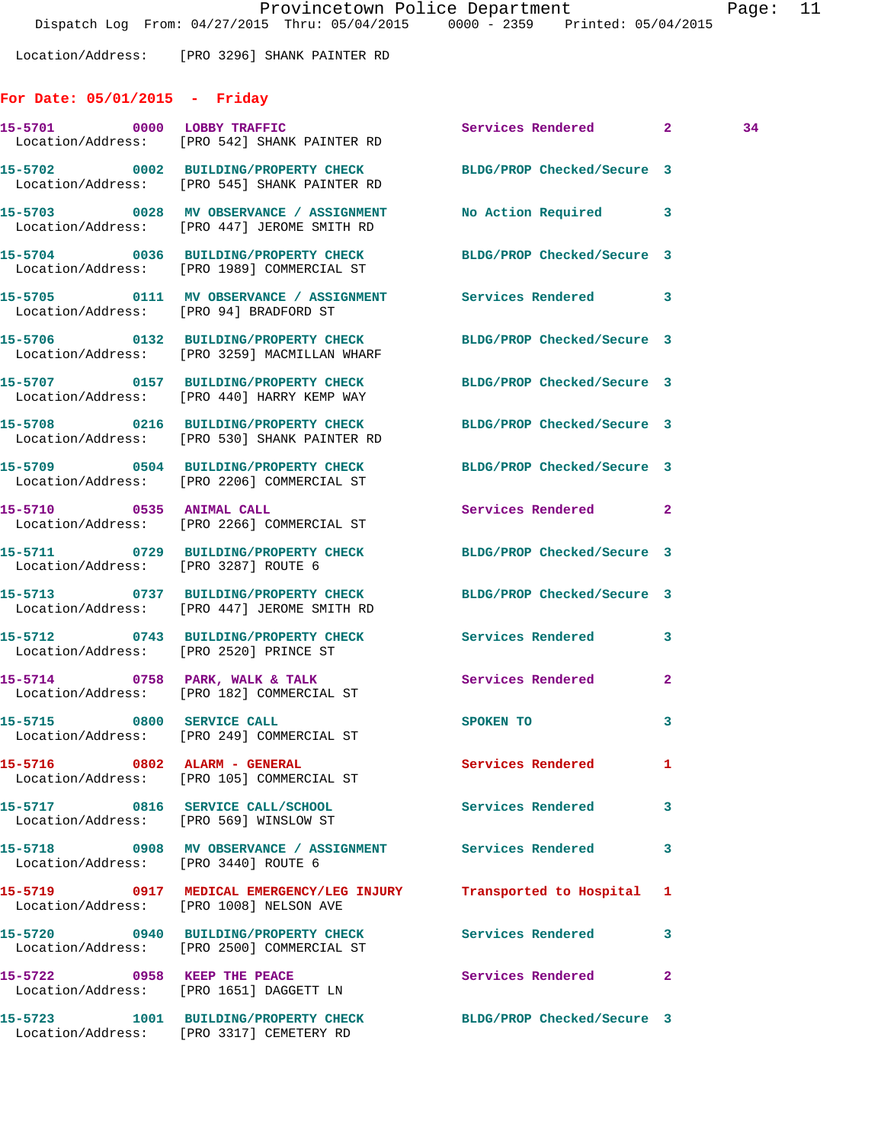Location/Address: [PRO 3296] SHANK PAINTER RD

## **For Date: 05/01/2015 - Friday**

|                                        | 15-5701 0000 LOBBY TRAFFIC<br>Location/Address: [PRO 542] SHANK PAINTER RD                                      | Services Rendered 2        |                | 34 |
|----------------------------------------|-----------------------------------------------------------------------------------------------------------------|----------------------------|----------------|----|
|                                        | 15-5702 0002 BUILDING/PROPERTY CHECK BLDG/PROP Checked/Secure 3<br>Location/Address: [PRO 545] SHANK PAINTER RD |                            |                |    |
|                                        | 15-5703 0028 MV OBSERVANCE / ASSIGNMENT No Action Required 3<br>Location/Address: [PRO 447] JEROME SMITH RD     |                            |                |    |
|                                        | 15-5704 0036 BUILDING/PROPERTY CHECK BLDG/PROP Checked/Secure 3<br>Location/Address: [PRO 1989] COMMERCIAL ST   |                            |                |    |
|                                        | 15-5705 0111 MV OBSERVANCE / ASSIGNMENT Services Rendered 3<br>Location/Address: [PRO 94] BRADFORD ST           |                            |                |    |
|                                        | 15-5706 0132 BUILDING/PROPERTY CHECK BLDG/PROP Checked/Secure 3<br>Location/Address: [PRO 3259] MACMILLAN WHARF |                            |                |    |
|                                        | 15-5707 0157 BUILDING/PROPERTY CHECK BLDG/PROP Checked/Secure 3<br>Location/Address: [PRO 440] HARRY KEMP WAY   |                            |                |    |
|                                        | 15-5708 0216 BUILDING/PROPERTY CHECK BLDG/PROP Checked/Secure 3<br>Location/Address: [PRO 530] SHANK PAINTER RD |                            |                |    |
|                                        | 15-5709 0504 BUILDING/PROPERTY CHECK BLDG/PROP Checked/Secure 3<br>Location/Address: [PRO 2206] COMMERCIAL ST   |                            |                |    |
| 15-5710 0535 ANIMAL CALL               | Location/Address: [PRO 2266] COMMERCIAL ST                                                                      | Services Rendered 2        |                |    |
| Location/Address: [PRO 3287] ROUTE 6   | 15-5711 0729 BUILDING/PROPERTY CHECK BLDG/PROP Checked/Secure 3                                                 |                            |                |    |
|                                        | 15-5713 0737 BUILDING/PROPERTY CHECK BLDG/PROP Checked/Secure 3<br>Location/Address: [PRO 447] JEROME SMITH RD  |                            |                |    |
|                                        | 15-5712 0743 BUILDING/PROPERTY CHECK Services Rendered<br>Location/Address: [PRO 2520] PRINCE ST                |                            | 3              |    |
|                                        | 15-5714 0758 PARK, WALK & TALK<br>Location/Address: [PRO 182] COMMERCIAL ST                                     | Services Rendered          | $\overline{2}$ |    |
|                                        | 15-5715 0800 SERVICE CALL<br>Location/Address: [PRO 249] COMMERCIAL ST                                          | SPOKEN TO                  | 3              |    |
|                                        | 15-5716 0802 ALARM - GENERAL<br>Location/Address: [PRO 105] COMMERCIAL ST                                       | Services Rendered          |                |    |
| Location/Address: [PRO 569] WINSLOW ST | 15-5717 0816 SERVICE CALL/SCHOOL 5ervices Rendered                                                              |                            | 3              |    |
| Location/Address: [PRO 3440] ROUTE 6   | 15-5718 0908 MV OBSERVANCE / ASSIGNMENT Services Rendered                                                       |                            | 3              |    |
|                                        | 15-5719 0917 MEDICAL EMERGENCY/LEG INJURY Transported to Hospital<br>Location/Address: [PRO 1008] NELSON AVE    |                            | 1              |    |
|                                        | 15-5720 0940 BUILDING/PROPERTY CHECK<br>Location/Address: [PRO 2500] COMMERCIAL ST                              | Services Rendered          | 3              |    |
|                                        | 15-5722 0958 KEEP THE PEACE<br>Location/Address: [PRO 1651] DAGGETT LN                                          | Services Rendered          | $\mathbf{2}$   |    |
| 15-5723                                | 1001 BUILDING/PROPERTY CHECK<br>Location/Address: [PRO 3317] CEMETERY RD                                        | BLDG/PROP Checked/Secure 3 |                |    |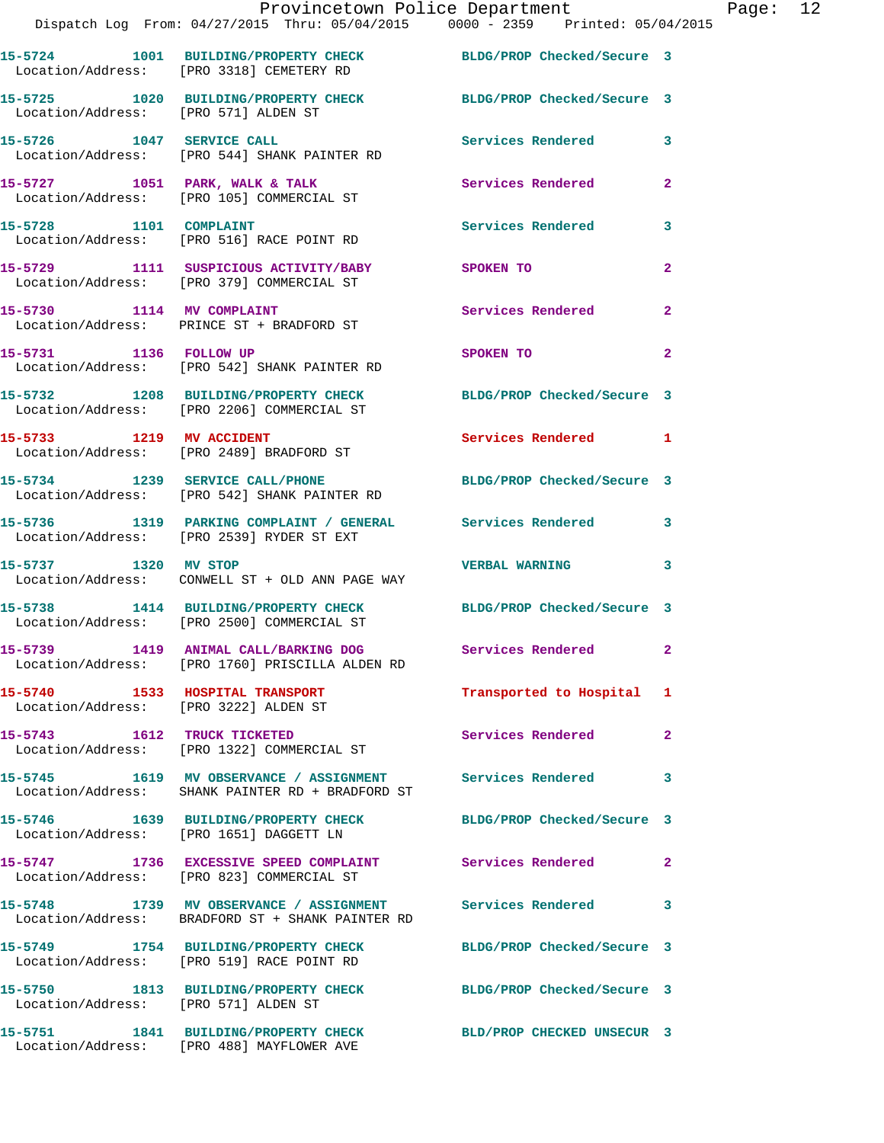|                                       | Provincetown Police Department<br>Dispatch Log From: 04/27/2015 Thru: 05/04/2015 0000 - 2359 Printed: 05/04/2015 |                            |                |
|---------------------------------------|------------------------------------------------------------------------------------------------------------------|----------------------------|----------------|
|                                       | 15-5724 1001 BUILDING/PROPERTY CHECK BLDG/PROP Checked/Secure 3<br>Location/Address: [PRO 3318] CEMETERY RD      |                            |                |
| Location/Address: [PRO 571] ALDEN ST  | 15-5725 1020 BUILDING/PROPERTY CHECK BLDG/PROP Checked/Secure 3                                                  |                            |                |
| 15-5726 1047 SERVICE CALL             | Location/Address: [PRO 544] SHANK PAINTER RD                                                                     | Services Rendered          | 3              |
|                                       | 15-5727 1051 PARK, WALK & TALK<br>Location/Address: [PRO 105] COMMERCIAL ST                                      | Services Rendered          | $\mathbf{2}$   |
| 15-5728 1101 COMPLAINT                | Location/Address: [PRO 516] RACE POINT RD                                                                        | <b>Services Rendered</b>   | 3              |
|                                       | 15-5729 1111 SUSPICIOUS ACTIVITY/BABY<br>Location/Address: [PRO 379] COMMERCIAL ST                               | <b>SPOKEN TO</b>           | 2              |
|                                       | 15-5730 1114 MV COMPLAINT<br>Location/Address: PRINCE ST + BRADFORD ST                                           | <b>Services Rendered</b>   | $\overline{a}$ |
| 15-5731 1136 FOLLOW UP                | Location/Address: [PRO 542] SHANK PAINTER RD                                                                     | SPOKEN TO                  | 2              |
|                                       | 15-5732 1208 BUILDING/PROPERTY CHECK BLDG/PROP Checked/Secure 3<br>Location/Address: [PRO 2206] COMMERCIAL ST    |                            |                |
|                                       | 15-5733 1219 MV ACCIDENT<br>Location/Address: [PRO 2489] BRADFORD ST                                             | Services Rendered          | 1              |
|                                       | 15-5734 1239 SERVICE CALL/PHONE<br>Location/Address: [PRO 542] SHANK PAINTER RD                                  | BLDG/PROP Checked/Secure 3 |                |
|                                       | 15-5736 1319 PARKING COMPLAINT / GENERAL Services Rendered<br>Location/Address: [PRO 2539] RYDER ST EXT          |                            | 3              |
| 15-5737 1320 MV STOP                  | Location/Address: CONWELL ST + OLD ANN PAGE WAY                                                                  | <b>VERBAL WARNING</b>      | 3              |
|                                       | 15-5738 1414 BUILDING/PROPERTY CHECK<br>Location/Address: [PRO 2500] COMMERCIAL ST                               | BLDG/PROP Checked/Secure 3 |                |
|                                       | 15-5739 1419 ANIMAL CALL/BARKING DOG<br>Location/Address: [PRO 1760] PRISCILLA ALDEN RD                          | Services Rendered          |                |
| Location/Address: [PRO 3222] ALDEN ST | 15-5740 1533 HOSPITAL TRANSPORT                                                                                  | Transported to Hospital    | 1              |
| 15-5743 1612 TRUCK TICKETED           | Location/Address: [PRO 1322] COMMERCIAL ST                                                                       | Services Rendered          | $\mathbf{2}$   |
|                                       | 15-5745 1619 MV OBSERVANCE / ASSIGNMENT Services Rendered<br>Location/Address: SHANK PAINTER RD + BRADFORD ST    |                            | 3              |
|                                       | 15-5746 1639 BUILDING/PROPERTY CHECK BLDG/PROP Checked/Secure 3<br>Location/Address: [PRO 1651] DAGGETT LN       |                            |                |
|                                       | 15-5747 1736 EXCESSIVE SPEED COMPLAINT Services Rendered<br>Location/Address: [PRO 823] COMMERCIAL ST            |                            | 2              |
|                                       | 15-5748 1739 MV OBSERVANCE / ASSIGNMENT Services Rendered<br>Location/Address: BRADFORD ST + SHANK PAINTER RD    |                            | 3              |
|                                       | 15-5749 1754 BUILDING/PROPERTY CHECK<br>Location/Address: [PRO 519] RACE POINT RD                                | BLDG/PROP Checked/Secure 3 |                |
| Location/Address: [PRO 571] ALDEN ST  | 15-5750 1813 BUILDING/PROPERTY CHECK                                                                             | BLDG/PROP Checked/Secure 3 |                |
|                                       | 15-5751 1841 BUILDING/PROPERTY CHECK BLD/PROP CHECKED UNSECUR 3                                                  |                            |                |

Location/Address: [PRO 488] MAYFLOWER AVE

Page:  $12$ <br> $15$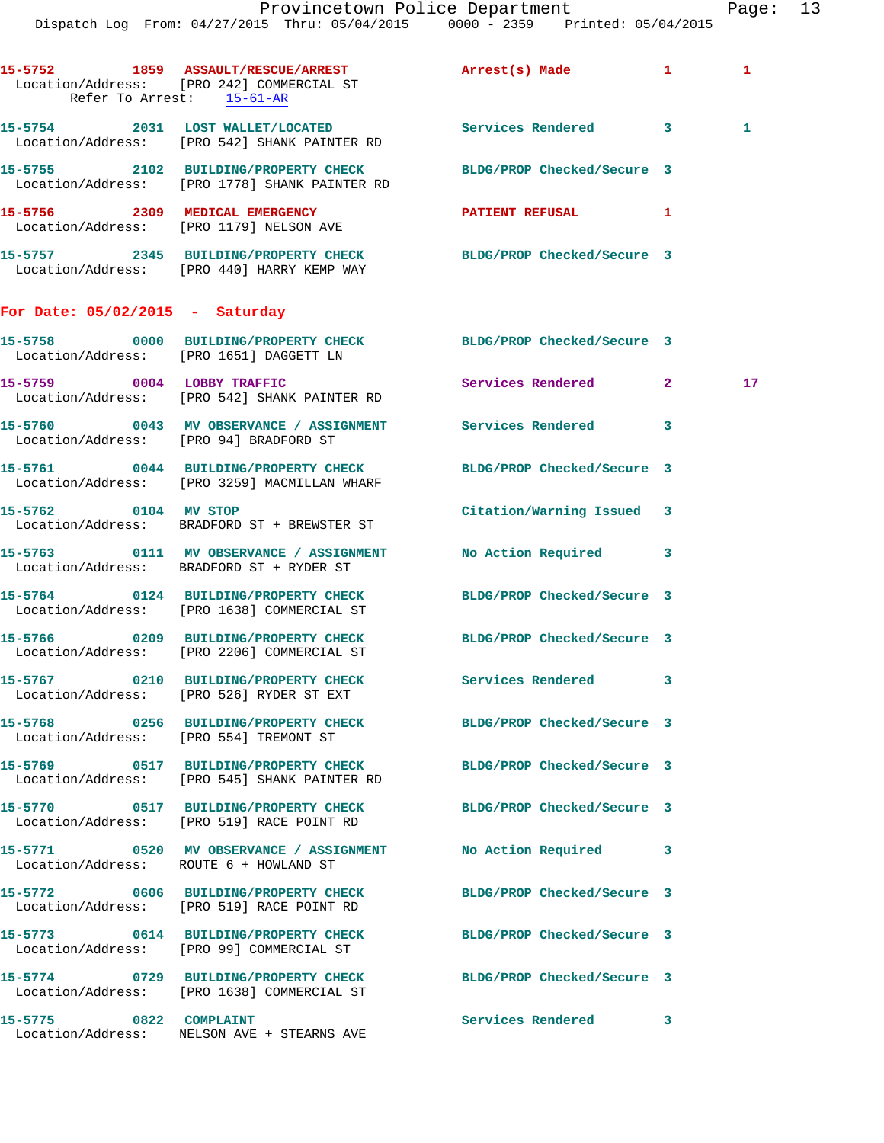|                                        | Dispatch Log From: 04/27/2015 Thru: 05/04/2015 0000 - 2359 Printed: 05/04/2015                                   | Provincetown Police Department |   | Page: 13     |  |
|----------------------------------------|------------------------------------------------------------------------------------------------------------------|--------------------------------|---|--------------|--|
|                                        | 15-5752 1859 ASSAULT/RESCUE/ARREST<br>Location/Address: [PRO 242] COMMERCIAL ST<br>Refer To Arrest: 15-61-AR     | Arrest(s) Made 1               |   | $\mathbf{1}$ |  |
|                                        | 15-5754 2031 LOST WALLET/LOCATED Services Rendered 3<br>Location/Address: [PRO 542] SHANK PAINTER RD             |                                |   | 1            |  |
|                                        | 15-5755 2102 BUILDING/PROPERTY CHECK BLDG/PROP Checked/Secure 3<br>Location/Address: [PRO 1778] SHANK PAINTER RD |                                |   |              |  |
|                                        | 15-5756 2309 MEDICAL EMERGENCY<br>Location/Address: [PRO 1179] NELSON AVE                                        | PATIENT REFUSAL 1              |   |              |  |
|                                        | 15-5757 2345 BUILDING/PROPERTY CHECK BLDG/PROP Checked/Secure 3<br>Location/Address: [PRO 440] HARRY KEMP WAY    |                                |   |              |  |
| For Date: $05/02/2015$ - Saturday      |                                                                                                                  |                                |   |              |  |
|                                        | 15-5758 0000 BUILDING/PROPERTY CHECK BLDG/PROP Checked/Secure 3<br>Location/Address: [PRO 1651] DAGGETT LN       |                                |   |              |  |
|                                        | 15-5759 0004 LOBBY TRAFFIC<br>Location/Address: [PRO 542] SHANK PAINTER RD                                       | Services Rendered 2            |   | $17 \,$      |  |
| Location/Address: [PRO 94] BRADFORD ST | 15-5760 0043 MV OBSERVANCE / ASSIGNMENT Services Rendered                                                        |                                | 3 |              |  |
|                                        | 15-5761 0044 BUILDING/PROPERTY CHECK<br>Location/Address: [PRO 3259] MACMILLAN WHARF                             | BLDG/PROP Checked/Secure 3     |   |              |  |
| 15-5762 0104 MV STOP                   | Location/Address: BRADFORD ST + BREWSTER ST                                                                      | Citation/Warning Issued 3      |   |              |  |
|                                        | 15-5763 0111 MV OBSERVANCE / ASSIGNMENT<br>Location/Address: BRADFORD ST + RYDER ST                              | No Action Required 3           |   |              |  |
|                                        | 15-5764 0124 BUILDING/PROPERTY CHECK<br>Location/Address: [PRO 1638] COMMERCIAL ST                               | BLDG/PROP Checked/Secure 3     |   |              |  |
|                                        | 15-5766 0209 BUILDING/PROPERTY CHECK BLDG/PROP Checked/Secure 3<br>Location/Address: [PRO 2206] COMMERCIAL ST    |                                |   |              |  |
|                                        | 15-5767 0210 BUILDING/PROPERTY CHECK Services Rendered 3<br>Location/Address: [PRO 526] RYDER ST EXT             |                                |   |              |  |
|                                        | 15-5768 0256 BUILDING/PROPERTY CHECK BLDG/PROP Checked/Secure 3<br>Location/Address: [PRO 554] TREMONT ST        |                                |   |              |  |
|                                        | 15-5769 0517 BUILDING/PROPERTY CHECK BLDG/PROP Checked/Secure 3<br>Location/Address: [PRO 545] SHANK PAINTER RD  |                                |   |              |  |
|                                        |                                                                                                                  | BLDG/PROP Checked/Secure 3     |   |              |  |
|                                        | 15-5771 0520 MV OBSERVANCE / ASSIGNMENT No Action Required 3<br>Location/Address: ROUTE 6 + HOWLAND ST           |                                |   |              |  |
|                                        | 15-5772 0606 BUILDING/PROPERTY CHECK BLDG/PROP Checked/Secure 3<br>Location/Address: [PRO 519] RACE POINT RD     |                                |   |              |  |
|                                        | 15-5773 0614 BUILDING/PROPERTY CHECK BLDG/PROP Checked/Secure 3<br>Location/Address: [PRO 99] COMMERCIAL ST      |                                |   |              |  |
|                                        | 15-5774 0729 BUILDING/PROPERTY CHECK BLDG/PROP Checked/Secure 3<br>Location/Address: [PRO 1638] COMMERCIAL ST    |                                |   |              |  |
| 15-5775 0822 COMPLAINT                 |                                                                                                                  | Services Rendered 3            |   |              |  |

Location/Address: NELSON AVE + STEARNS AVE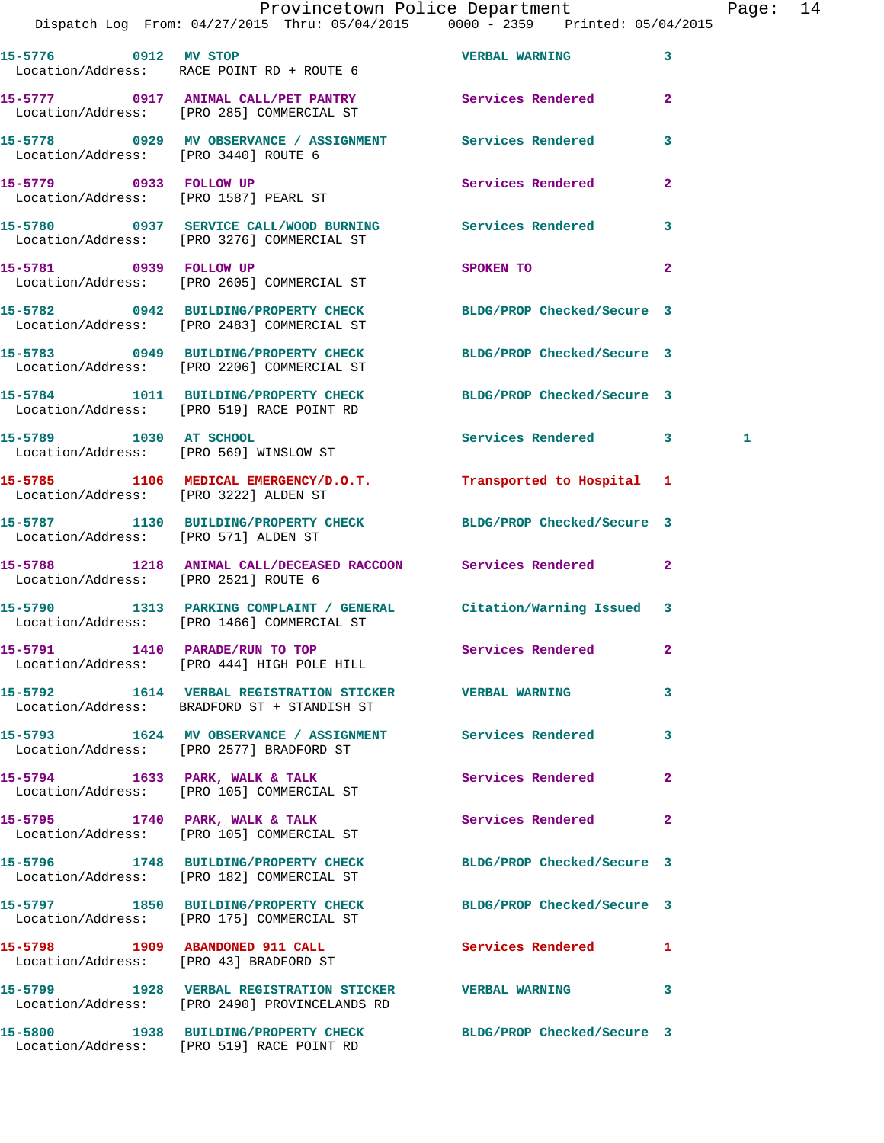|                                       |                                                                                                          | Provincetown Police Department Page: 14<br>Dispatch Log From: 04/27/2015 Thru: 05/04/2015 0000 - 2359 Printed: 05/04/2015 |   |
|---------------------------------------|----------------------------------------------------------------------------------------------------------|---------------------------------------------------------------------------------------------------------------------------|---|
|                                       | Location/Address: RACE POINT RD + ROUTE 6                                                                | 15-5776 0912 MV STOP CONTROL TO MARING 3                                                                                  |   |
|                                       | 15-5777 0917 ANIMAL CALL/PET PANTRY Services Rendered<br>Location/Address: [PRO 285] COMMERCIAL ST       | $\overline{2}$                                                                                                            |   |
| Location/Address: [PRO 3440] ROUTE 6  | 15-5778 0929 MV OBSERVANCE / ASSIGNMENT Services Rendered                                                | 3                                                                                                                         |   |
| 15-5779 0933 FOLLOW UP                | Location/Address: [PRO 1587] PEARL ST                                                                    | Services Rendered<br>$\mathbf{2}$                                                                                         |   |
|                                       |                                                                                                          | 15-5780 0937 SERVICE CALL/WOOD BURNING Services Rendered 3<br>Location/Address: [PRO 3276] COMMERCIAL ST                  |   |
|                                       | 15-5781 0939 FOLLOW UP<br>Location/Address: [PRO 2605] COMMERCIAL ST                                     | SPOKEN TO AND TO A THE SPOKEN TO<br>$\mathbf{2}$                                                                          |   |
|                                       | Location/Address: [PRO 2483] COMMERCIAL ST                                                               | 15-5782 0942 BUILDING/PROPERTY CHECK BLDG/PROP Checked/Secure 3                                                           |   |
|                                       | Location/Address: [PRO 2206] COMMERCIAL ST                                                               | 15-5783 0949 BUILDING/PROPERTY CHECK BLDG/PROP Checked/Secure 3                                                           |   |
|                                       | Location/Address: [PRO 519] RACE POINT RD                                                                | 15-5784 1011 BUILDING/PROPERTY CHECK BLDG/PROP Checked/Secure 3                                                           |   |
|                                       | 15-5789 1030 AT SCHOOL<br>Location/Address: [PRO 569] WINSLOW ST                                         | Services Rendered 3                                                                                                       | 1 |
| Location/Address: [PRO 3222] ALDEN ST |                                                                                                          | 15-5785 1106 MEDICAL EMERGENCY/D.O.T. Transported to Hospital 1                                                           |   |
| Location/Address: [PRO 571] ALDEN ST  |                                                                                                          | 15-5787 1130 BUILDING/PROPERTY CHECK BLDG/PROP Checked/Secure 3                                                           |   |
| Location/Address: [PRO 2521] ROUTE 6  |                                                                                                          | 15-5788 1218 ANIMAL CALL/DECEASED RACCOON Services Rendered 2                                                             |   |
|                                       | Location/Address: [PRO 1466] COMMERCIAL ST                                                               | 15-5790 1313 PARKING COMPLAINT / GENERAL Citation/Warning Issued 3                                                        |   |
|                                       | 15-5791 1410 PARADE/RUN TO TOP<br>Location/Address: [PRO 444] HIGH POLE HILL                             | Services Rendered 2                                                                                                       |   |
|                                       | 15-5792 1614 VERBAL REGISTRATION STICKER WERBAL WARNING<br>Location/Address: BRADFORD ST + STANDISH ST   | 3                                                                                                                         |   |
|                                       | 15-5793 1624 MV OBSERVANCE / ASSIGNMENT Services Rendered<br>Location/Address: [PRO 2577] BRADFORD ST    | 3                                                                                                                         |   |
|                                       | 15-5794 1633 PARK, WALK & TALK<br>Location/Address: [PRO 105] COMMERCIAL ST                              | Services Rendered<br>$\mathbf{2}$                                                                                         |   |
|                                       | 15-5795 1740 PARK, WALK & TALK<br>Location/Address: [PRO 105] COMMERCIAL ST                              | <b>Services Rendered</b> 2                                                                                                |   |
|                                       | Location/Address: [PRO 182] COMMERCIAL ST                                                                | 15-5796 1748 BUILDING/PROPERTY CHECK BLDG/PROP Checked/Secure 3                                                           |   |
|                                       | Location/Address: [PRO 175] COMMERCIAL ST                                                                | 15-5797 1850 BUILDING/PROPERTY CHECK BLDG/PROP Checked/Secure 3                                                           |   |
|                                       | Location/Address: [PRO 43] BRADFORD ST                                                                   | 15-5798 1909 ABANDONED 911 CALL Services Rendered 1                                                                       |   |
|                                       | 15-5799 1928 VERBAL REGISTRATION STICKER WERBAL WARNING<br>Location/Address: [PRO 2490] PROVINCELANDS RD | $\mathbf{3}$                                                                                                              |   |

**15-5800 1938 BUILDING/PROPERTY CHECK BLDG/PROP Checked/Secure 3**  Location/Address: [PRO 519] RACE POINT RD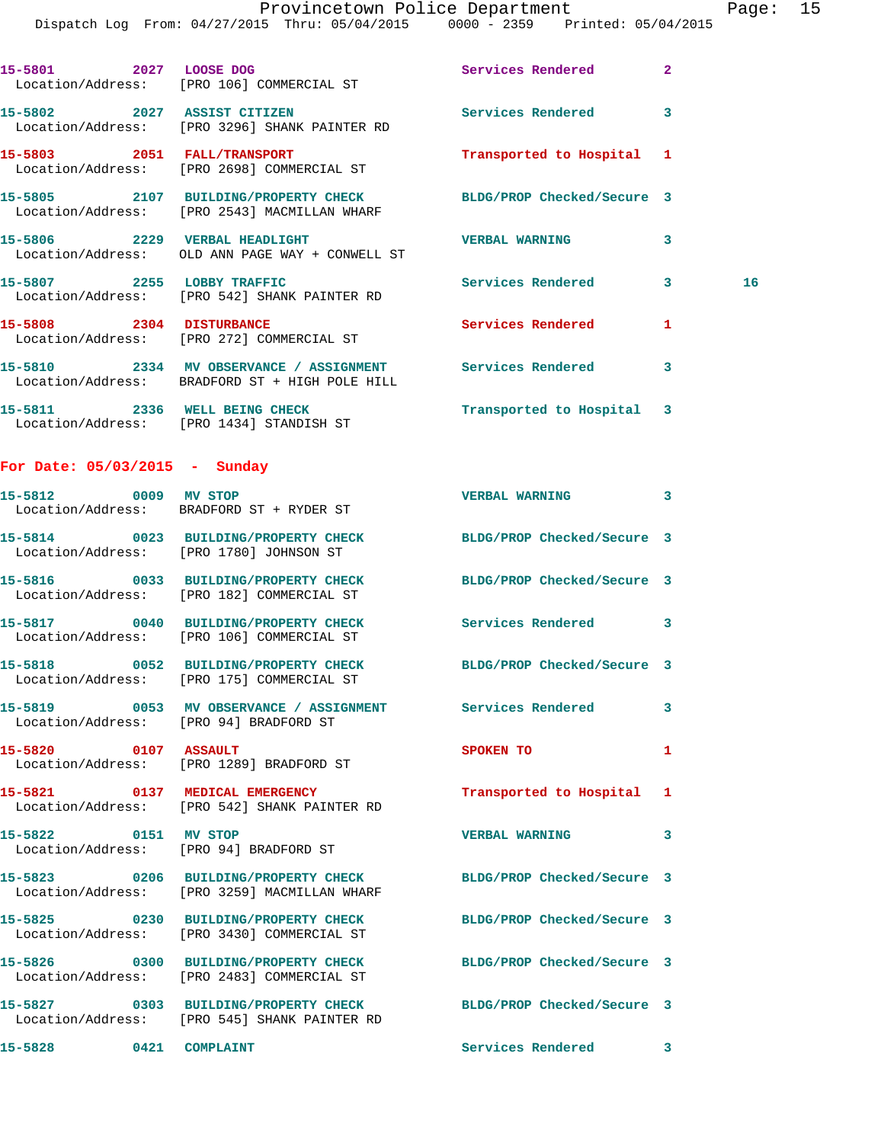|                               | Dispatch Log From: 04/27/2015 Thru: 05/04/2015 0000 - 2359 Printed: 05/04/2015                                  |                            |                |    |
|-------------------------------|-----------------------------------------------------------------------------------------------------------------|----------------------------|----------------|----|
| 15-5801 2027 LOOSE DOG        | Location/Address: [PRO 106] COMMERCIAL ST                                                                       | Services Rendered          | $\overline{2}$ |    |
|                               | 15-5802 2027 ASSIST CITIZEN<br>Location/Address: [PRO 3296] SHANK PAINTER RD                                    | Services Rendered          | 3              |    |
|                               | 15-5803 2051 FALL/TRANSPORT<br>Location/Address: [PRO 2698] COMMERCIAL ST                                       | Transported to Hospital 1  |                |    |
|                               | 15-5805 2107 BUILDING/PROPERTY CHECK BLDG/PROP Checked/Secure 3<br>Location/Address: [PRO 2543] MACMILLAN WHARF |                            |                |    |
|                               | 15-5806 2229 VERBAL HEADLIGHT<br>Location/Address: OLD ANN PAGE WAY + CONWELL ST                                | <b>VERBAL WARNING</b>      | 3              |    |
|                               | 15-5807 2255 LOBBY TRAFFIC<br>Location/Address: [PRO 542] SHANK PAINTER RD                                      | <b>Services Rendered</b>   | 3              | 16 |
| 15-5808 2304 DISTURBANCE      | Location/Address: [PRO 272] COMMERCIAL ST                                                                       | Services Rendered          | 1              |    |
|                               | 15-5810 2334 MV OBSERVANCE / ASSIGNMENT Services Rendered<br>Location/Address: BRADFORD ST + HIGH POLE HILL     |                            | 3              |    |
|                               | 15-5811 2336 WELL BEING CHECK<br>Location/Address: [PRO 1434] STANDISH ST                                       | Transported to Hospital 3  |                |    |
| For Date: 05/03/2015 - Sunday |                                                                                                                 |                            |                |    |
| 15-5812 0009 MV STOP          | Location/Address: BRADFORD ST + RYDER ST                                                                        | VERBAL WARNING 3           |                |    |
|                               | 15-5814 0023 BUILDING/PROPERTY CHECK<br>Location/Address: [PRO 1780] JOHNSON ST                                 | BLDG/PROP Checked/Secure 3 |                |    |
|                               | 15-5816 0033 BUILDING/PROPERTY CHECK<br>Location/Address: [PRO 182] COMMERCIAL ST                               | BLDG/PROP Checked/Secure 3 |                |    |
|                               | 15-5817 0040 BUILDING/PROPERTY CHECK Services Rendered 3<br>Location/Address: [PRO 106] COMMERCIAL ST           |                            |                |    |
|                               | 15-5818 0052 BUILDING/PROPERTY CHECK BLDG/PROP Checked/Secure 3<br>Location/Address: [PRO 175] COMMERCIAL ST    |                            |                |    |
|                               | 15-5819 0053 MV OBSERVANCE / ASSIGNMENT Services Rendered<br>Location/Address: [PRO 94] BRADFORD ST             |                            | 3              |    |
| 15-5820 0107 ASSAULT          | Location/Address: [PRO 1289] BRADFORD ST                                                                        | SPOKEN TO                  | 1              |    |
|                               | 15-5821 0137 MEDICAL EMERGENCY<br>Location/Address: [PRO 542] SHANK PAINTER RD                                  | Transported to Hospital 1  |                |    |
| 15-5822 0151 MV STOP          | Location/Address: [PRO 94] BRADFORD ST                                                                          | <b>VERBAL WARNING</b>      | 3              |    |
|                               | 15-5823 0206 BUILDING/PROPERTY CHECK BLDG/PROP Checked/Secure 3<br>Location/Address: [PRO 3259] MACMILLAN WHARF |                            |                |    |
|                               | 15-5825 0230 BUILDING/PROPERTY CHECK<br>Location/Address: [PRO 3430] COMMERCIAL ST                              | BLDG/PROP Checked/Secure 3 |                |    |
|                               | 15-5826 0300 BUILDING/PROPERTY CHECK<br>Location/Address: [PRO 2483] COMMERCIAL ST                              | BLDG/PROP Checked/Secure 3 |                |    |
|                               | 15-5827 0303 BUILDING/PROPERTY CHECK BLDG/PROP Checked/Secure 3<br>Location/Address: [PRO 545] SHANK PAINTER RD |                            |                |    |
| 15-5828 0421 COMPLAINT        |                                                                                                                 | Services Rendered 3        |                |    |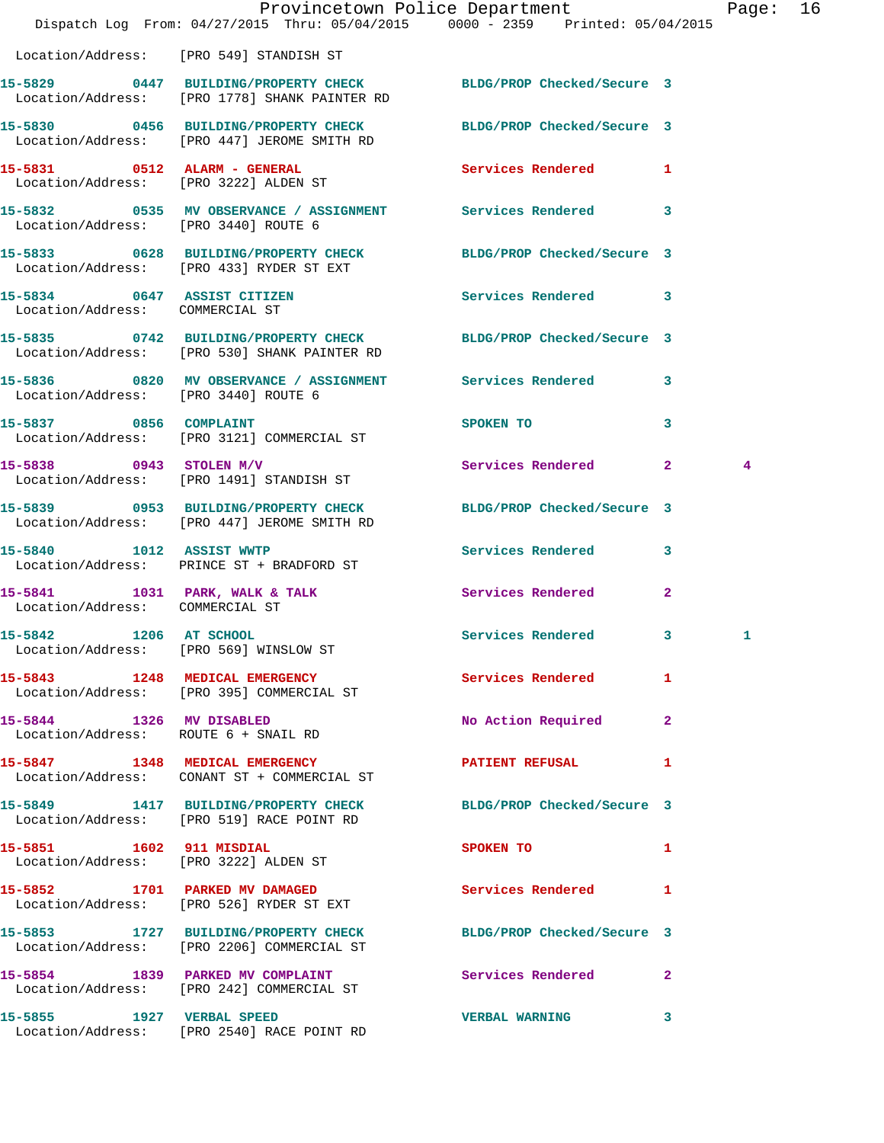|                                      | Dispatch Log From: 04/27/2015 Thru: 05/04/2015 0000 - 2359 Printed: 05/04/2015                                   | Provincetown Police Department |              | Page: 16 |  |
|--------------------------------------|------------------------------------------------------------------------------------------------------------------|--------------------------------|--------------|----------|--|
|                                      | Location/Address: [PRO 549] STANDISH ST                                                                          |                                |              |          |  |
|                                      | 15-5829 0447 BUILDING/PROPERTY CHECK BLDG/PROP Checked/Secure 3<br>Location/Address: [PRO 1778] SHANK PAINTER RD |                                |              |          |  |
|                                      | 15-5830 0456 BUILDING/PROPERTY CHECK BLDG/PROP Checked/Secure 3<br>Location/Address: [PRO 447] JEROME SMITH RD   |                                |              |          |  |
|                                      | 15-5831 0512 ALARM - GENERAL Services Rendered 1<br>Location/Address: [PRO 3222] ALDEN ST                        |                                |              |          |  |
|                                      | 15-5832 0535 MV OBSERVANCE / ASSIGNMENT Services Rendered 3<br>Location/Address: [PRO 3440] ROUTE 6              |                                |              |          |  |
|                                      | 15-5833 0628 BUILDING/PROPERTY CHECK BLDG/PROP Checked/Secure 3<br>Location/Address: [PRO 433] RYDER ST EXT      |                                |              |          |  |
| Location/Address: COMMERCIAL ST      | 15-5834 0647 ASSIST CITIZEN                                                                                      | Services Rendered 3            |              |          |  |
|                                      | 15-5835 0742 BUILDING/PROPERTY CHECK BLDG/PROP Checked/Secure 3<br>Location/Address: [PRO 530] SHANK PAINTER RD  |                                |              |          |  |
| Location/Address: [PRO 3440] ROUTE 6 | 15-5836 0820 MV OBSERVANCE / ASSIGNMENT Services Rendered 3                                                      |                                |              |          |  |
|                                      | 15-5837 0856 COMPLAINT<br>Location/Address: [PRO 3121] COMMERCIAL ST                                             | SPOKEN TO                      | $\mathbf{3}$ |          |  |
|                                      | 15-5838 0943 STOLEN M/V<br>Location/Address: [PRO 1491] STANDISH ST                                              | Services Rendered 2            |              | 4        |  |
|                                      | 15-5839 0953 BUILDING/PROPERTY CHECK<br>Location/Address: [PRO 447] JEROME SMITH RD                              | BLDG/PROP Checked/Secure 3     |              |          |  |
| 15-5840 1012 ASSIST WWTP             | Location/Address: PRINCE ST + BRADFORD ST                                                                        | Services Rendered 3            |              |          |  |
| Location/Address: COMMERCIAL ST      | 15-5841 1031 PARK, WALK & TALK                                                                                   | Services Rendered              | $\mathbf{2}$ |          |  |
| 1206 AT SCHOOL<br>15-5842            | Location/Address: [PRO 569] WINSLOW ST                                                                           | Services Rendered 3            |              | 1        |  |
|                                      | 15-5843 1248 MEDICAL EMERGENCY Services Rendered<br>Location/Address: [PRO 395] COMMERCIAL ST                    |                                | 1            |          |  |
|                                      | 15-5844 1326 MV DISABLED<br>Location/Address: ROUTE 6 + SNAIL RD                                                 | No Action Required 2           |              |          |  |
|                                      | 15-5847 1348 MEDICAL EMERGENCY<br>Location/Address: CONANT ST + COMMERCIAL ST                                    | <b>PATIENT REFUSAL</b>         | 1            |          |  |
|                                      | 15-5849 1417 BUILDING/PROPERTY CHECK<br>Location/Address: [PRO 519] RACE POINT RD                                | BLDG/PROP Checked/Secure 3     |              |          |  |
|                                      | 15-5851 1602 911 MISDIAL<br>Location/Address: [PRO 3222] ALDEN ST                                                | SPOKEN TO                      | $\mathbf{1}$ |          |  |
|                                      | 15-5852 1701 PARKED MV DAMAGED<br>Location/Address: [PRO 526] RYDER ST EXT                                       | Services Rendered 1            |              |          |  |
|                                      | 15-5853 1727 BUILDING/PROPERTY CHECK<br>Location/Address: [PRO 2206] COMMERCIAL ST                               | BLDG/PROP Checked/Secure 3     |              |          |  |
|                                      | 15-5854 1839 PARKED MV COMPLAINT Services Rendered 2<br>Location/Address: [PRO 242] COMMERCIAL ST                |                                |              |          |  |
|                                      | 15-5855 1927 VERBAL SPEED<br>Location/Address: [PRO 2540] RACE POINT RD                                          | <b>VERBAL WARNING</b>          | 3            |          |  |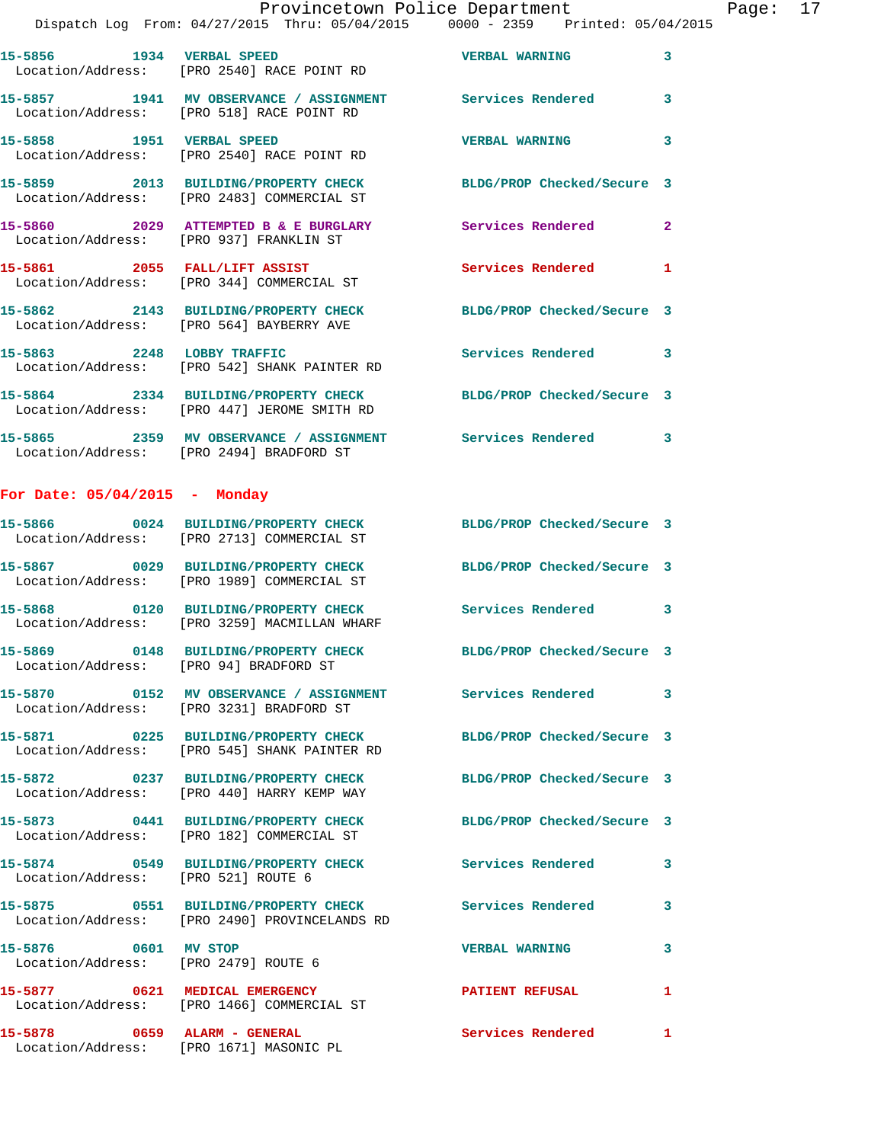|                                        | Provincetown Police Department<br>Dispatch Log From: 04/27/2015 Thru: 05/04/2015 0000 - 2359 Printed: 05/04/2015 |                       |              | Page: 17 |  |
|----------------------------------------|------------------------------------------------------------------------------------------------------------------|-----------------------|--------------|----------|--|
|                                        | 15-5856 1934 VERBAL SPEED<br>Location/Address: [PRO 2540] RACE POINT RD                                          | <b>VERBAL WARNING</b> | 3            |          |  |
|                                        | 15-5857 1941 MV OBSERVANCE / ASSIGNMENT Services Rendered 3<br>Location/Address: [PRO 518] RACE POINT RD         |                       |              |          |  |
|                                        | 15-5858                1951     VERBAL SPEED<br>Location/Address:     [PRO 2540] RACE POINT RD                   | <b>VERBAL WARNING</b> | 3            |          |  |
|                                        | 15-5859 2013 BUILDING/PROPERTY CHECK BLDG/PROP Checked/Secure 3<br>Location/Address: [PRO 2483] COMMERCIAL ST    |                       |              |          |  |
|                                        | 15-5860 2029 ATTEMPTED B & E BURGLARY Services Rendered<br>Location/Address: [PRO 937] FRANKLIN ST               |                       | $\mathbf{2}$ |          |  |
|                                        | 15-5861 2055 FALL/LIFT ASSIST<br>Location/Address: [PRO 344] COMMERCIAL ST                                       | Services Rendered 1   |              |          |  |
|                                        | 15-5862 2143 BUILDING/PROPERTY CHECK BLDG/PROP Checked/Secure 3<br>Location/Address: [PRO 564] BAYBERRY AVE      |                       |              |          |  |
|                                        | 15-5863 2248 LOBBY TRAFFIC<br>Location/Address: [PRO 542] SHANK PAINTER RD                                       | Services Rendered 3   |              |          |  |
|                                        | 15-5864 2334 BUILDING/PROPERTY CHECK BLDG/PROP Checked/Secure 3<br>Location/Address: [PRO 447] JEROME SMITH RD   |                       |              |          |  |
|                                        | 15-5865 2359 MV OBSERVANCE / ASSIGNMENT Services Rendered 3<br>Location/Address: [PRO 2494] BRADFORD ST          |                       |              |          |  |
| For Date: $05/04/2015$ - Monday        |                                                                                                                  |                       |              |          |  |
|                                        | 15-5866 0024 BUILDING/PROPERTY CHECK BLDG/PROP Checked/Secure 3<br>Location/Address: [PRO 2713] COMMERCIAL ST    |                       |              |          |  |
|                                        | 15-5867 0029 BUILDING/PROPERTY CHECK BLDG/PROP Checked/Secure 3<br>Location/Address: [PRO 1989] COMMERCIAL ST    |                       |              |          |  |
|                                        | 15-5868 0120 BUILDING/PROPERTY CHECK Services Rendered 3<br>Location/Address: [PRO 3259] MACMILLAN WHARF         |                       |              |          |  |
| Location/Address: [PRO 94] BRADFORD ST | 15-5869 		 0148 BUILDING/PROPERTY CHECK 			BLDG/PROP Checked/Secure 3                                            |                       |              |          |  |
|                                        | Location/Address: [PRO 3231] BRADFORD ST                                                                         |                       |              |          |  |
|                                        | 15-5871 0225 BUILDING/PROPERTY CHECK BLDG/PROP Checked/Secure 3<br>Location/Address: [PRO 545] SHANK PAINTER RD  |                       |              |          |  |
|                                        | 15-5872 0237 BUILDING/PROPERTY CHECK BLDG/PROP Checked/Secure 3<br>Location/Address: [PRO 440] HARRY KEMP WAY    |                       |              |          |  |
|                                        | 15-5873 0441 BUILDING/PROPERTY CHECK BLDG/PROP Checked/Secure 3<br>Location/Address: [PRO 182] COMMERCIAL ST     |                       |              |          |  |
| Location/Address: [PRO 521] ROUTE 6    | 15-5874 0549 BUILDING/PROPERTY CHECK Services Rendered                                                           |                       | 3            |          |  |
|                                        | 15-5875 0551 BUILDING/PROPERTY CHECK Services Rendered 3<br>Location/Address: [PRO 2490] PROVINCELANDS RD        |                       |              |          |  |
| Location/Address: [PRO 2479] ROUTE 6   | 15-5876 0601 MV STOP                                                                                             | <b>VERBAL WARNING</b> | 3            |          |  |
|                                        | 15-5877 0621 MEDICAL EMERGENCY PATIENT REFUSAL<br>Location/Address: [PRO 1466] COMMERCIAL ST                     |                       | $\mathbf{1}$ |          |  |

**15-5878 0659 ALARM - GENERAL Services Rendered 1**  Location/Address: [PRO 1671] MASONIC PL